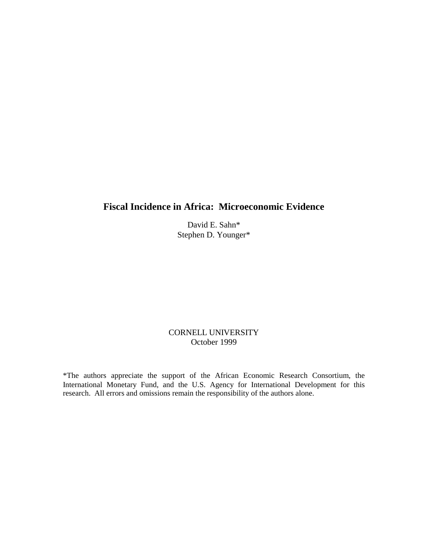# **Fiscal Incidence in Africa: Microeconomic Evidence**

David E. Sahn\* Stephen D. Younger\*

## CORNELL UNIVERSITY October 1999

\*The authors appreciate the support of the African Economic Research Consortium, the International Monetary Fund, and the U.S. Agency for International Development for this research. All errors and omissions remain the responsibility of the authors alone.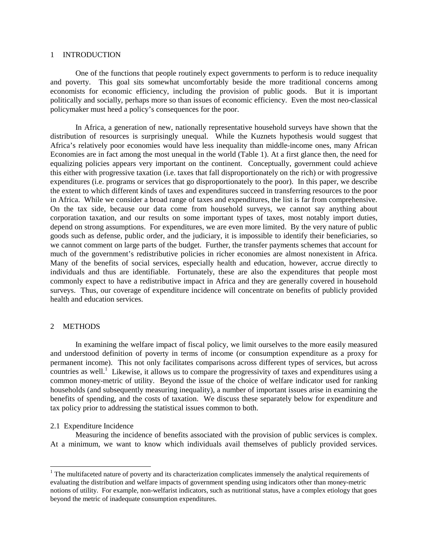#### 1 INTRODUCTION

 One of the functions that people routinely expect governments to perform is to reduce inequality and poverty. This goal sits somewhat uncomfortably beside the more traditional concerns among economists for economic efficiency, including the provision of public goods. But it is important politically and socially, perhaps more so than issues of economic efficiency. Even the most neo-classical policymaker must heed a policy's consequences for the poor.

 In Africa, a generation of new, nationally representative household surveys have shown that the distribution of resources is surprisingly unequal. While the Kuznets hypothesis would suggest that Africa's relatively poor economies would have less inequality than middle-income ones, many African Economies are in fact among the most unequal in the world (Table 1). At a first glance then, the need for equalizing policies appears very important on the continent. Conceptually, government could achieve this either with progressive taxation (i.e. taxes that fall disproportionately on the rich) or with progressive expenditures (i.e. programs or services that go disproportionately to the poor). In this paper, we describe the extent to which different kinds of taxes and expenditures succeed in transferring resources to the poor in Africa. While we consider a broad range of taxes and expenditures, the list is far from comprehensive. On the tax side, because our data come from household surveys, we cannot say anything about corporation taxation, and our results on some important types of taxes, most notably import duties, depend on strong assumptions. For expenditures, we are even more limited. By the very nature of public goods such as defense, public order, and the judiciary, it is impossible to identify their beneficiaries, so we cannot comment on large parts of the budget. Further, the transfer payments schemes that account for much of the government's redistributive policies in richer economies are almost nonexistent in Africa. Many of the benefits of social services, especially health and education, however, accrue directly to individuals and thus are identifiable. Fortunately, these are also the expenditures that people most commonly expect to have a redistributive impact in Africa and they are generally covered in household surveys. Thus, our coverage of expenditure incidence will concentrate on benefits of publicly provided health and education services.

## 2 METHODS

 In examining the welfare impact of fiscal policy, we limit ourselves to the more easily measured and understood definition of poverty in terms of income (or consumption expenditure as a proxy for permanent income). This not only facilitates comparisons across different types of services, but across countries as well.<sup>1</sup> Likewise, it allows us to compare the progressivity of taxes and expenditures using a common money-metric of utility. Beyond the issue of the choice of welfare indicator used for ranking households (and subsequently measuring inequality), a number of important issues arise in examining the benefits of spending, and the costs of taxation. We discuss these separately below for expenditure and tax policy prior to addressing the statistical issues common to both.

### 2.1 Expenditure Incidence

 $\overline{a}$ 

 Measuring the incidence of benefits associated with the provision of public services is complex. At a minimum, we want to know which individuals avail themselves of publicly provided services.

 $1$  The multifaceted nature of poverty and its characterization complicates immensely the analytical requirements of evaluating the distribution and welfare impacts of government spending using indicators other than money-metric notions of utility. For example, non-welfarist indicators, such as nutritional status, have a complex etiology that goes beyond the metric of inadequate consumption expenditures.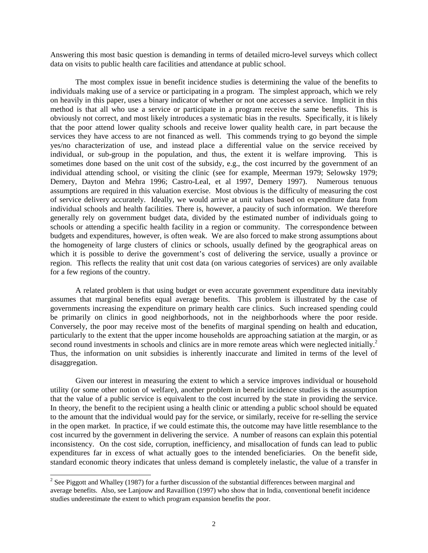Answering this most basic question is demanding in terms of detailed micro-level surveys which collect data on visits to public health care facilities and attendance at public school.

 The most complex issue in benefit incidence studies is determining the value of the benefits to individuals making use of a service or participating in a program. The simplest approach, which we rely on heavily in this paper, uses a binary indicator of whether or not one accesses a service. Implicit in this method is that all who use a service or participate in a program receive the same benefits. This is obviously not correct, and most likely introduces a systematic bias in the results. Specifically, it is likely that the poor attend lower quality schools and receive lower quality health care, in part because the services they have access to are not financed as well. This commends trying to go beyond the simple yes/no characterization of use, and instead place a differential value on the service received by individual, or sub-group in the population, and thus, the extent it is welfare improving. This is sometimes done based on the unit cost of the subsidy, e.g., the cost incurred by the government of an individual attending school, or visiting the clinic (see for example, Meerman 1979; Selowsky 1979; Demery, Dayton and Mehra 1996; Castro-Leal, et al 1997, Demery 1997). Numerous tenuous assumptions are required in this valuation exercise. Most obvious is the difficulty of measuring the cost of service delivery accurately. Ideally, we would arrive at unit values based on expenditure data from individual schools and health facilities. There is, however, a paucity of such information. We therefore generally rely on government budget data, divided by the estimated number of individuals going to schools or attending a specific health facility in a region or community. The correspondence between budgets and expenditures, however, is often weak. We are also forced to make strong assumptions about the homogeneity of large clusters of clinics or schools, usually defined by the geographical areas on which it is possible to derive the government's cost of delivering the service, usually a province or region. This reflects the reality that unit cost data (on various categories of services) are only available for a few regions of the country.

 A related problem is that using budget or even accurate government expenditure data inevitably assumes that marginal benefits equal average benefits. This problem is illustrated by the case of governments increasing the expenditure on primary health care clinics. Such increased spending could be primarily on clinics in good neighborhoods, not in the neighborhoods where the poor reside. Conversely, the poor may receive most of the benefits of marginal spending on health and education, particularly to the extent that the upper income households are approaching satiation at the margin, or as second round investments in schools and clinics are in more remote areas which were neglected initially.<sup>2</sup> Thus, the information on unit subsidies is inherently inaccurate and limited in terms of the level of disaggregation.

 Given our interest in measuring the extent to which a service improves individual or household utility (or some other notion of welfare), another problem in benefit incidence studies is the assumption that the value of a public service is equivalent to the cost incurred by the state in providing the service. In theory, the benefit to the recipient using a health clinic or attending a public school should be equated to the amount that the individual would pay for the service, or similarly, receive for re-selling the service in the open market. In practice, if we could estimate this, the outcome may have little resemblance to the cost incurred by the government in delivering the service. A number of reasons can explain this potential inconsistency. On the cost side, corruption, inefficiency, and misallocation of funds can lead to public expenditures far in excess of what actually goes to the intended beneficiaries. On the benefit side, standard economic theory indicates that unless demand is completely inelastic, the value of a transfer in

<sup>&</sup>lt;sup>2</sup> See Piggott and Whalley (1987) for a further discussion of the substantial differences between marginal and average benefits. Also, see Lanjouw and Ravaillion (1997) who show that in India, conventional benefit incidence studies underestimate the extent to which program expansion benefits the poor.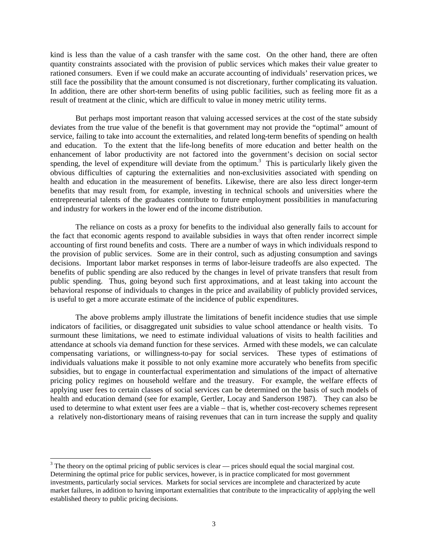kind is less than the value of a cash transfer with the same cost. On the other hand, there are often quantity constraints associated with the provision of public services which makes their value greater to rationed consumers. Even if we could make an accurate accounting of individuals' reservation prices, we still face the possibility that the amount consumed is not discretionary, further complicating its valuation. In addition, there are other short-term benefits of using public facilities, such as feeling more fit as a result of treatment at the clinic, which are difficult to value in money metric utility terms.

 But perhaps most important reason that valuing accessed services at the cost of the state subsidy deviates from the true value of the benefit is that government may not provide the "optimal" amount of service, failing to take into account the externalities, and related long-term benefits of spending on health and education. To the extent that the life-long benefits of more education and better health on the enhancement of labor productivity are not factored into the government's decision on social sector spending, the level of expenditure will deviate from the optimum.<sup>3</sup> This is particularly likely given the obvious difficulties of capturing the externalities and non-exclusivities associated with spending on health and education in the measurement of benefits. Likewise, there are also less direct longer-term benefits that may result from, for example, investing in technical schools and universities where the entrepreneurial talents of the graduates contribute to future employment possibilities in manufacturing and industry for workers in the lower end of the income distribution.

 The reliance on costs as a proxy for benefits to the individual also generally fails to account for the fact that economic agents respond to available subsidies in ways that often render incorrect simple accounting of first round benefits and costs. There are a number of ways in which individuals respond to the provision of public services. Some are in their control, such as adjusting consumption and savings decisions. Important labor market responses in terms of labor-leisure tradeoffs are also expected. The benefits of public spending are also reduced by the changes in level of private transfers that result from public spending. Thus, going beyond such first approximations, and at least taking into account the behavioral response of individuals to changes in the price and availability of publicly provided services, is useful to get a more accurate estimate of the incidence of public expenditures.

The above problems amply illustrate the limitations of benefit incidence studies that use simple indicators of facilities, or disaggregated unit subsidies to value school attendance or health visits. To surmount these limitations, we need to estimate individual valuations of visits to health facilities and attendance at schools via demand function for these services. Armed with these models, we can calculate compensating variations, or willingness-to-pay for social services. These types of estimations of individuals valuations make it possible to not only examine more accurately who benefits from specific subsidies, but to engage in counterfactual experimentation and simulations of the impact of alternative pricing policy regimes on household welfare and the treasury. For example, the welfare effects of applying user fees to certain classes of social services can be determined on the basis of such models of health and education demand (see for example, Gertler, Locay and Sanderson 1987). They can also be used to determine to what extent user fees are a viable – that is, whether cost-recovery schemes represent a relatively non-distortionary means of raising revenues that can in turn increase the supply and quality

l

 $3$  The theory on the optimal pricing of public services is clear — prices should equal the social marginal cost. Determining the optimal price for public services, however, is in practice complicated for most government investments, particularly social services. Markets for social services are incomplete and characterized by acute market failures, in addition to having important externalities that contribute to the impracticality of applying the well established theory to public pricing decisions.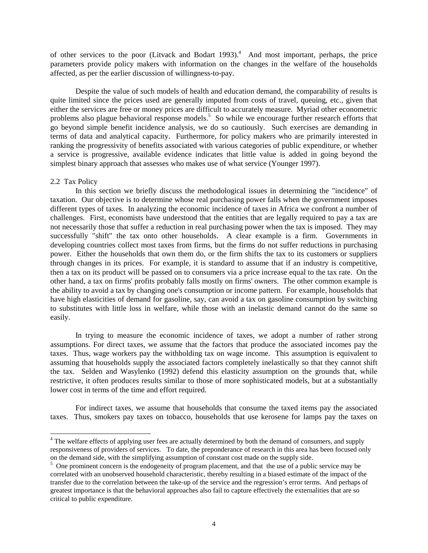of other services to the poor (Litvack and Bodart 1993).<sup>4</sup> And most important, perhaps, the price parameters provide policy makers with information on the changes in the welfare of the households affected, as per the earlier discussion of willingness-to-pay.

Despite the value of such models of health and education demand, the comparability of results is quite limited since the prices used are generally imputed from costs of travel, queuing, etc., given that either the services are free or money prices are difficult to accurately measure. Myriad other econometric problems also plague behavioral response models.<sup>5</sup> So while we encourage further research efforts that go beyond simple benefit incidence analysis, we do so cautiously. Such exercises are demanding in terms of data and analytical capacity. Furthermore, for policy makers who are primarily interested in ranking the progressivity of benefits associated with various categories of public expenditure, or whether a service is progressive, available evidence indicates that little value is added in going beyond the simplest binary approach that assesses who makes use of what service (Younger 1997).

### 2.2 Tax Policy

l

In this section we briefly discuss the methodological issues in determining the "incidence" of taxation. Our objective is to determine whose real purchasing power falls when the government imposes different types of taxes. In analyzing the economic incidence of taxes in Africa we confront a number of challenges. First, economists have understood that the entities that are legally required to pay a tax are not necessarily those that suffer a reduction in real purchasing power when the tax is imposed. They may successfully "shift" the tax onto other households. A clear example is a firm. Governments in developing countries collect most taxes from firms, but the firms do not suffer reductions in purchasing power. Either the households that own them do, or the firm shifts the tax to its customers or suppliers through changes in its prices. For example, it is standard to assume that if an industry is competitive, then a tax on its product will be passed on to consumers via a price increase equal to the tax rate. On the other hand, a tax on firms' profits probably falls mostly on firms' owners. The other common example is the ability to avoid a tax by changing one's consumption or income pattern. For example, households that have high elasticities of demand for gasoline, say, can avoid a tax on gasoline consumption by switching to substitutes with little loss in welfare, while those with an inelastic demand cannot do the same so easily.

 In trying to measure the economic incidence of taxes, we adopt a number of rather strong assumptions. For direct taxes, we assume that the factors that produce the associated incomes pay the taxes. Thus, wage workers pay the withholding tax on wage income. This assumption is equivalent to assuming that households supply the associated factors completely inelastically so that they cannot shift the tax. Selden and Wasylenko (1992) defend this elasticity assumption on the grounds that, while restrictive, it often produces results similar to those of more sophisticated models, but at a substantially lower cost in terms of the time and effort required.

 For indirect taxes, we assume that households that consume the taxed items pay the associated taxes. Thus, smokers pay taxes on tobacco, households that use kerosene for lamps pay the taxes on

<sup>&</sup>lt;sup>4</sup> The welfare effects of applying user fees are actually determined by both the demand of consumers, and supply responsiveness of providers of services. To date, the preponderance of research in this area has been focused only on the demand side, with the simplifying assumption of constant cost made on the supply side.

<sup>&</sup>lt;sup>5</sup> One prominent concern is the endogeneity of program placement, and that the use of a public service may be correlated with an unobserved household characteristic, thereby resulting in a biased estimate of the impact of the transfer due to the correlation between the take-up of the service and the regression's error terms. And perhaps of greatest importance is that the behavioral approaches also fail to capture effectively the externalities that are so critical to public expenditure.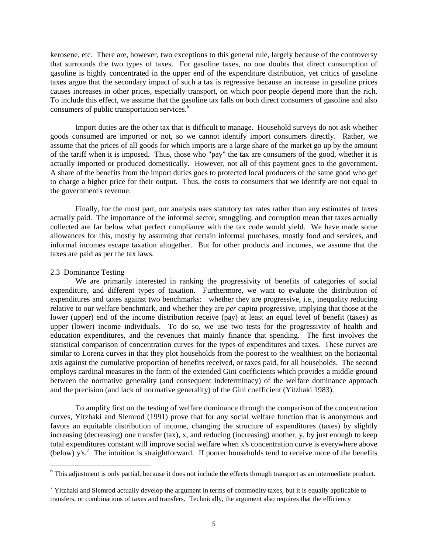kerosene, etc. There are, however, two exceptions to this general rule, largely because of the controversy that surrounds the two types of taxes. For gasoline taxes, no one doubts that direct consumption of gasoline is highly concentrated in the upper end of the expenditure distribution, yet critics of gasoline taxes argue that the secondary impact of such a tax is regressive because an increase in gasoline prices causes increases in other prices, especially transport, on which poor people depend more than the rich. To include this effect, we assume that the gasoline tax falls on both direct consumers of gasoline and also consumers of public transportation services.<sup>6</sup>

 Import duties are the other tax that is difficult to manage. Household surveys do not ask whether goods consumed are imported or not, so we cannot identify import consumers directly. Rather, we assume that the prices of all goods for which imports are a large share of the market go up by the amount of the tariff when it is imposed. Thus, those who "pay" the tax are consumers of the good, whether it is actually imported or produced domestically. However, not all of this payment goes to the government. A share of the benefits from the import duties goes to protected local producers of the same good who get to charge a higher price for their output. Thus, the costs to consumers that we identify are not equal to the government's revenue.

 Finally, for the most part, our analysis uses statutory tax rates rather than any estimates of taxes actually paid. The importance of the informal sector, smuggling, and corruption mean that taxes actually collected are far below what perfect compliance with the tax code would yield. We have made some allowances for this, mostly by assuming that certain informal purchases, mostly food and services, and informal incomes escape taxation altogether. But for other products and incomes, we assume that the taxes are paid as per the tax laws.

### 2.3 Dominance Testing

 $\overline{a}$ 

 We are primarily interested in ranking the progressivity of benefits of categories of social expenditure, and different types of taxation. Furthermore, we want to evaluate the distribution of expenditures and taxes against two benchmarks: whether they are progressive, i.e., inequality reducing relative to our welfare benchmark, and whether they are *per capita* progressive, implying that those at the lower (upper) end of the income distribution receive (pay) at least an equal level of benefit (taxes) as upper (lower) income individuals. To do so, we use two tests for the progressivity of health and education expenditures, and the revenues that mainly finance that spending. The first involves the statistical comparison of concentration curves for the types of expenditures and taxes. These curves are similar to Lorenz curves in that they plot households from the poorest to the wealthiest on the horizontal axis against the cumulative proportion of benefits received, or taxes paid, for all households. The second employs cardinal measures in the form of the extended Gini coefficients which provides a middle ground between the normative generality (and consequent indeterminacy) of the welfare dominance approach and the precision (and lack of normative generality) of the Gini coefficient (Yitzhaki 1983).

 To amplify first on the testing of welfare dominance through the comparison of the concentration curves, Yitzhaki and Slemrod (1991) prove that for any social welfare function that is anonymous and favors an equitable distribution of income, changing the structure of expenditures (taxes) by slightly increasing (decreasing) one transfer (tax), x, and reducing (increasing) another, y, by just enough to keep total expenditures constant will improve social welfare when x's concentration curve is everywhere above (below) y's.<sup>7</sup> The intuition is straightforward. If poorer households tend to receive more of the benefits

 $<sup>6</sup>$  This adjustment is only partial, because it does not include the effects through transport as an intermediate product.</sup>

<sup>&</sup>lt;sup>7</sup> Yitzhaki and Slemrod actually develop the argument in terms of commodity taxes, but it is equally applicable to transfers, or combinations of taxes and transfers. Technically, the argument also requires that the efficiency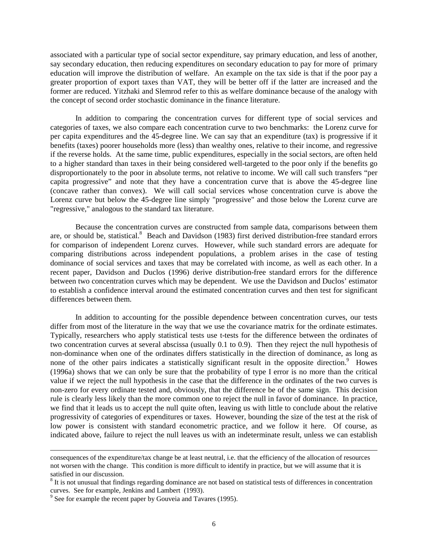associated with a particular type of social sector expenditure, say primary education, and less of another, say secondary education, then reducing expenditures on secondary education to pay for more of primary education will improve the distribution of welfare. An example on the tax side is that if the poor pay a greater proportion of export taxes than VAT, they will be better off if the latter are increased and the former are reduced. Yitzhaki and Slemrod refer to this as welfare dominance because of the analogy with the concept of second order stochastic dominance in the finance literature.

 In addition to comparing the concentration curves for different type of social services and categories of taxes, we also compare each concentration curve to two benchmarks: the Lorenz curve for per capita expenditures and the 45-degree line. We can say that an expenditure (tax) is progressive if it benefits (taxes) poorer households more (less) than wealthy ones, relative to their income, and regressive if the reverse holds. At the same time, public expenditures, especially in the social sectors, are often held to a higher standard than taxes in their being considered well-targeted to the poor only if the benefits go disproportionately to the poor in absolute terms, not relative to income. We will call such transfers "per capita progressive" and note that they have a concentration curve that is above the 45-degree line (concave rather than convex). We will call social services whose concentration curve is above the Lorenz curve but below the 45-degree line simply "progressive" and those below the Lorenz curve are "regressive," analogous to the standard tax literature.

 Because the concentration curves are constructed from sample data, comparisons between them are, or should be, statistical.<sup>8</sup> Beach and Davidson (1983) first derived distribution-free standard errors for comparison of independent Lorenz curves. However, while such standard errors are adequate for comparing distributions across independent populations, a problem arises in the case of testing dominance of social services and taxes that may be correlated with income, as well as each other. In a recent paper, Davidson and Duclos (1996) derive distribution-free standard errors for the difference between two concentration curves which may be dependent. We use the Davidson and Duclos' estimator to establish a confidence interval around the estimated concentration curves and then test for significant differences between them.

 In addition to accounting for the possible dependence between concentration curves, our tests differ from most of the literature in the way that we use the covariance matrix for the ordinate estimates. Typically, researchers who apply statistical tests use t-tests for the difference between the ordinates of two concentration curves at several abscissa (usually 0.1 to 0.9). Then they reject the null hypothesis of non-dominance when one of the ordinates differs statistically in the direction of dominance, as long as none of the other pairs indicates a statistically significant result in the opposite direction.<sup>9</sup> Howes (1996a) shows that we can only be sure that the probability of type I error is no more than the critical value if we reject the null hypothesis in the case that the difference in the ordinates of the two curves is non-zero for every ordinate tested and, obviously, that the difference be of the same sign. This decision rule is clearly less likely than the more common one to reject the null in favor of dominance. In practice, we find that it leads us to accept the null quite often, leaving us with little to conclude about the relative progressivity of categories of expenditures or taxes. However, bounding the size of the test at the risk of low power is consistent with standard econometric practice, and we follow it here. Of course, as indicated above, failure to reject the null leaves us with an indeterminate result, unless we can establish

 $\overline{a}$ 

consequences of the expenditure/tax change be at least neutral, i.e. that the efficiency of the allocation of resources not worsen with the change. This condition is more difficult to identify in practice, but we will assume that it is satisfied in our discussion.

 $8$  It is not unusual that findings regarding dominance are not based on statistical tests of differences in concentration curves. See for example, Jenkins and Lambert (1993).

<sup>&</sup>lt;sup>9</sup> See for example the recent paper by Gouveia and Tavares (1995).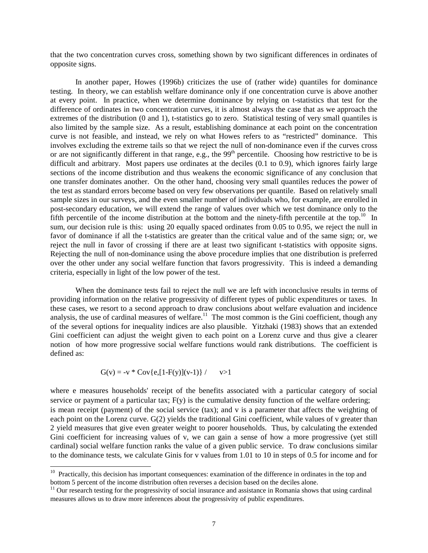that the two concentration curves cross, something shown by two significant differences in ordinates of opposite signs.

 In another paper, Howes (1996b) criticizes the use of (rather wide) quantiles for dominance testing. In theory, we can establish welfare dominance only if one concentration curve is above another at every point. In practice, when we determine dominance by relying on t-statistics that test for the difference of ordinates in two concentration curves, it is almost always the case that as we approach the extremes of the distribution (0 and 1), t-statistics go to zero. Statistical testing of very small quantiles is also limited by the sample size. As a result, establishing dominance at each point on the concentration curve is not feasible, and instead, we rely on what Howes refers to as "restricted" dominance. This involves excluding the extreme tails so that we reject the null of non-dominance even if the curves cross or are not significantly different in that range, e.g., the  $99<sup>th</sup>$  percentile. Choosing how restrictive to be is difficult and arbitrary. Most papers use ordinates at the deciles (0.1 to 0.9), which ignores fairly large sections of the income distribution and thus weakens the economic significance of any conclusion that one transfer dominates another. On the other hand, choosing very small quantiles reduces the power of the test as standard errors become based on very few observations per quantile. Based on relatively small sample sizes in our surveys, and the even smaller number of individuals who, for example, are enrolled in post-secondary education, we will extend the range of values over which we test dominance only to the fifth percentile of the income distribution at the bottom and the ninety-fifth percentile at the top.<sup>10</sup> In sum, our decision rule is this: using 20 equally spaced ordinates from 0.05 to 0.95, we reject the null in favor of dominance if all the t-statistics are greater than the critical value and of the same sign; or, we reject the null in favor of crossing if there are at least two significant t-statistics with opposite signs. Rejecting the null of non-dominance using the above procedure implies that one distribution is preferred over the other under any social welfare function that favors progressivity. This is indeed a demanding criteria, especially in light of the low power of the test.

 When the dominance tests fail to reject the null we are left with inconclusive results in terms of providing information on the relative progressivity of different types of public expenditures or taxes. In these cases, we resort to a second approach to draw conclusions about welfare evaluation and incidence analysis, the use of cardinal measures of welfare.<sup>11</sup> The most common is the Gini coefficient, though any of the several options for inequality indices are also plausible. Yitzhaki (1983) shows that an extended Gini coefficient can adjust the weight given to each point on a Lorenz curve and thus give a clearer notion of how more progressive social welfare functions would rank distributions. The coefficient is defined as:

$$
G(v) = -v * Cov\{e, [1 - F(y)](v-1)\}\ / \qquad v>1
$$

 $\overline{a}$ 

where e measures households' receipt of the benefits associated with a particular category of social service or payment of a particular tax;  $F(y)$  is the cumulative density function of the welfare ordering; is mean receipt (payment) of the social service (tax); and v is a parameter that affects the weighting of each point on the Lorenz curve. G(2) yields the traditional Gini coefficient, while values of v greater than 2 yield measures that give even greater weight to poorer households. Thus, by calculating the extended Gini coefficient for increasing values of v, we can gain a sense of how a more progressive (yet still cardinal) social welfare function ranks the value of a given public service. To draw conclusions similar to the dominance tests, we calculate Ginis for v values from 1.01 to 10 in steps of 0.5 for income and for

 $10$  Practically, this decision has important consequences: examination of the difference in ordinates in the top and bottom 5 percent of the income distribution often reverses a decision based on the deciles alone.

<sup>&</sup>lt;sup>11</sup> Our research testing for the progressivity of social insurance and assistance in Romania shows that using cardinal measures allows us to draw more inferences about the progressivity of public expenditures.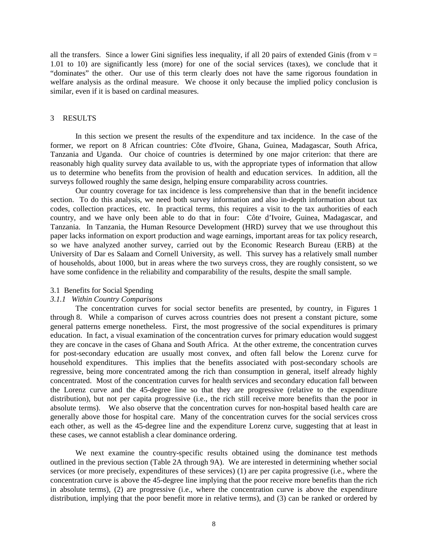all the transfers. Since a lower Gini signifies less inequality, if all 20 pairs of extended Ginis (from  $v =$ 1.01 to 10) are significantly less (more) for one of the social services (taxes), we conclude that it "dominates" the other. Our use of this term clearly does not have the same rigorous foundation in welfare analysis as the ordinal measure. We choose it only because the implied policy conclusion is similar, even if it is based on cardinal measures.

#### 3 RESULTS

In this section we present the results of the expenditure and tax incidence. In the case of the former, we report on 8 African countries: Côte d'Ivoire, Ghana, Guinea, Madagascar, South Africa, Tanzania and Uganda. Our choice of countries is determined by one major criterion: that there are reasonably high quality survey data available to us, with the appropriate types of information that allow us to determine who benefits from the provision of health and education services. In addition, all the surveys followed roughly the same design, helping ensure comparability across countries.

 Our country coverage for tax incidence is less comprehensive than that in the benefit incidence section. To do this analysis, we need both survey information and also in-depth information about tax codes, collection practices, etc. In practical terms, this requires a visit to the tax authorities of each country, and we have only been able to do that in four: Côte d'Ivoire, Guinea, Madagascar, and Tanzania. In Tanzania, the Human Resource Development (HRD) survey that we use throughout this paper lacks information on export production and wage earnings, important areas for tax policy research, so we have analyzed another survey, carried out by the Economic Research Bureau (ERB) at the University of Dar es Salaam and Cornell University, as well. This survey has a relatively small number of households, about 1000, but in areas where the two surveys cross, they are roughly consistent, so we have some confidence in the reliability and comparability of the results, despite the small sample.

#### 3.1 Benefits for Social Spending

## *3.1.1 Within Country Comparisons*

 The concentration curves for social sector benefits are presented, by country, in Figures 1 through 8. While a comparison of curves across countries does not present a constant picture, some general patterns emerge nonetheless. First, the most progressive of the social expenditures is primary education. In fact, a visual examination of the concentration curves for primary education would suggest they are concave in the cases of Ghana and South Africa. At the other extreme, the concentration curves for post-secondary education are usually most convex, and often fall below the Lorenz curve for household expenditures. This implies that the benefits associated with post-secondary schools are regressive, being more concentrated among the rich than consumption in general, itself already highly concentrated. Most of the concentration curves for health services and secondary education fall between the Lorenz curve and the 45-degree line so that they are progressive (relative to the expenditure distribution), but not per capita progressive (i.e., the rich still receive more benefits than the poor in absolute terms). We also observe that the concentration curves for non-hospital based health care are generally above those for hospital care. Many of the concentration curves for the social services cross each other, as well as the 45-degree line and the expenditure Lorenz curve, suggesting that at least in these cases, we cannot establish a clear dominance ordering.

 We next examine the country-specific results obtained using the dominance test methods outlined in the previous section (Table 2A through 9A). We are interested in determining whether social services (or more precisely, expenditures of these services) (1) are per capita progressive (i.e., where the concentration curve is above the 45-degree line implying that the poor receive more benefits than the rich in absolute terms), (2) are progressive (i.e., where the concentration curve is above the expenditure distribution, implying that the poor benefit more in relative terms), and (3) can be ranked or ordered by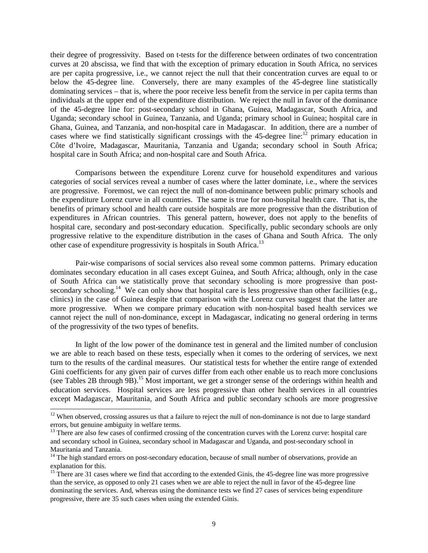their degree of progressivity. Based on t-tests for the difference between ordinates of two concentration curves at 20 abscissa, we find that with the exception of primary education in South Africa, no services are per capita progressive, i.e., we cannot reject the null that their concentration curves are equal to or below the 45-degree line. Conversely, there are many examples of the 45-degree line statistically dominating services – that is, where the poor receive less benefit from the service in per capita terms than individuals at the upper end of the expenditure distribution. We reject the null in favor of the dominance of the 45-degree line for: post-secondary school in Ghana, Guinea, Madagascar, South Africa, and Uganda; secondary school in Guinea, Tanzania, and Uganda; primary school in Guinea; hospital care in Ghana, Guinea, and Tanzania, and non-hospital care in Madagascar. In addition, there are a number of cases where we find statistically significant crossings with the 45-degree line:<sup>12</sup> primary education in Côte d'Ivoire, Madagascar, Mauritania, Tanzania and Uganda; secondary school in South Africa; hospital care in South Africa; and non-hospital care and South Africa.

 Comparisons between the expenditure Lorenz curve for household expenditures and various categories of social services reveal a number of cases where the latter dominate, i.e., where the services are progressive. Foremost, we can reject the null of non-dominance between public primary schools and the expenditure Lorenz curve in all countries. The same is true for non-hospital health care. That is, the benefits of primary school and health care outside hospitals are more progressive than the distribution of expenditures in African countries. This general pattern, however, does not apply to the benefits of hospital care, secondary and post-secondary education. Specifically, public secondary schools are only progressive relative to the expenditure distribution in the cases of Ghana and South Africa. The only other case of expenditure progressivity is hospitals in South Africa.<sup>13</sup>

 Pair-wise comparisons of social services also reveal some common patterns. Primary education dominates secondary education in all cases except Guinea, and South Africa; although, only in the case of South Africa can we statistically prove that secondary schooling is more progressive than postsecondary schooling.<sup>14</sup> We can only show that hospital care is less progressive than other facilities (e.g., clinics) in the case of Guinea despite that comparison with the Lorenz curves suggest that the latter are more progressive. When we compare primary education with non-hospital based health services we cannot reject the null of non-dominance, except in Madagascar, indicating no general ordering in terms of the progressivity of the two types of benefits.

 In light of the low power of the dominance test in general and the limited number of conclusion we are able to reach based on these tests, especially when it comes to the ordering of services, we next turn to the results of the cardinal measures. Our statistical tests for whether the entire range of extended Gini coefficients for any given pair of curves differ from each other enable us to reach more conclusions (see Tables 2B through 9B).15 Most important, we get a stronger sense of the orderings within health and education services. Hospital services are less progressive than other health services in all countries except Madagascar, Mauritania, and South Africa and public secondary schools are more progressive

l

 $12$  When observed, crossing assures us that a failure to reject the null of non-dominance is not due to large standard errors, but genuine ambiguity in welfare terms.

 $13$  There are also few cases of confirmed crossing of the concentration curves with the Lorenz curve: hospital care and secondary school in Guinea, secondary school in Madagascar and Uganda, and post-secondary school in Mauritania and Tanzania.

<sup>&</sup>lt;sup>14</sup> The high standard errors on post-secondary education, because of small number of observations, provide an explanation for this.

<sup>&</sup>lt;sup>15</sup> There are 31 cases where we find that according to the extended Ginis, the 45-degree line was more progressive than the service, as opposed to only 21 cases when we are able to reject the null in favor of the 45-degree line dominating the services. And, whereas using the dominance tests we find 27 cases of services being expenditure progressive, there are 35 such cases when using the extended Ginis.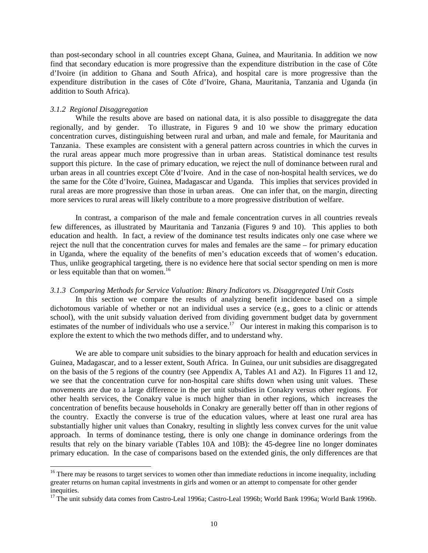than post-secondary school in all countries except Ghana, Guinea, and Mauritania. In addition we now find that secondary education is more progressive than the expenditure distribution in the case of Côte d'Ivoire (in addition to Ghana and South Africa), and hospital care is more progressive than the expenditure distribution in the cases of Côte d'Ivoire, Ghana, Mauritania, Tanzania and Uganda (in addition to South Africa).

### *3.1.2 Regional Disaggregation*

 $\overline{a}$ 

While the results above are based on national data, it is also possible to disaggregate the data regionally, and by gender. To illustrate, in Figures 9 and 10 we show the primary education concentration curves, distinguishing between rural and urban, and male and female, for Mauritania and Tanzania. These examples are consistent with a general pattern across countries in which the curves in the rural areas appear much more progressive than in urban areas. Statistical dominance test results support this picture. In the case of primary education, we reject the null of dominance between rural and urban areas in all countries except Côte d'Ivoire. And in the case of non-hospital health services, we do the same for the Côte d'Ivoire, Guinea, Madagascar and Uganda. This implies that services provided in rural areas are more progressive than those in urban areas. One can infer that, on the margin, directing more services to rural areas will likely contribute to a more progressive distribution of welfare.

In contrast, a comparison of the male and female concentration curves in all countries reveals few differences, as illustrated by Mauritania and Tanzania (Figures 9 and 10). This applies to both education and health. In fact, a review of the dominance test results indicates only one case where we reject the null that the concentration curves for males and females are the same – for primary education in Uganda, where the equality of the benefits of men's education exceeds that of women's education. Thus, unlike geographical targeting, there is no evidence here that social sector spending on men is more or less equitable than that on women.<sup>16</sup>

#### *3.1.3 Comparing Methods for Service Valuation: Binary Indicators vs. Disaggregated Unit Costs*

 In this section we compare the results of analyzing benefit incidence based on a simple dichotomous variable of whether or not an individual uses a service (e.g., goes to a clinic or attends school), with the unit subsidy valuation derived from dividing government budget data by government estimates of the number of individuals who use a service.<sup>17</sup> Our interest in making this comparison is to explore the extent to which the two methods differ, and to understand why.

 We are able to compare unit subsidies to the binary approach for health and education services in Guinea, Madagascar, and to a lesser extent, South Africa. In Guinea, our unit subsidies are disaggregated on the basis of the 5 regions of the country (see Appendix A, Tables A1 and A2). In Figures 11 and 12, we see that the concentration curve for non-hospital care shifts down when using unit values. These movements are due to a large difference in the per unit subsidies in Conakry versus other regions. For other health services, the Conakry value is much higher than in other regions, which increases the concentration of benefits because households in Conakry are generally better off than in other regions of the country. Exactly the converse is true of the education values, where at least one rural area has substantially higher unit values than Conakry, resulting in slightly less convex curves for the unit value approach. In terms of dominance testing, there is only one change in dominance orderings from the results that rely on the binary variable (Tables 10A and 10B): the 45-degree line no longer dominates primary education. In the case of comparisons based on the extended ginis, the only differences are that

<sup>&</sup>lt;sup>16</sup> There may be reasons to target services to women other than immediate reductions in income inequality, including greater returns on human capital investments in girls and women or an attempt to compensate for other gender inequities.

<sup>&</sup>lt;sup>17</sup> The unit subsidy data comes from Castro-Leal 1996a; Castro-Leal 1996b; World Bank 1996a; World Bank 1996b.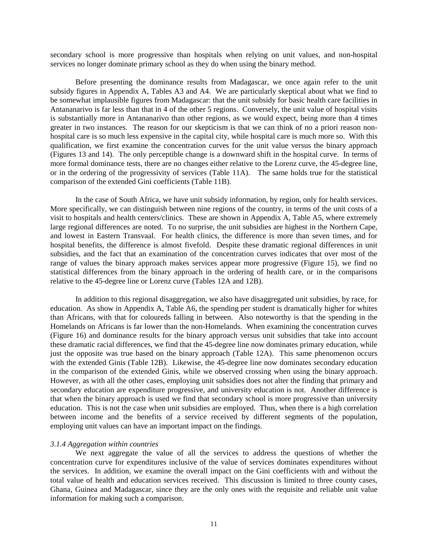secondary school is more progressive than hospitals when relying on unit values, and non-hospital services no longer dominate primary school as they do when using the binary method.

 Before presenting the dominance results from Madagascar, we once again refer to the unit subsidy figures in Appendix A, Tables A3 and A4. We are particularly skeptical about what we find to be somewhat implausible figures from Madagascar: that the unit subsidy for basic health care facilities in Antananarivo is far less than that in 4 of the other 5 regions. Conversely, the unit value of hospital visits is substantially more in Antananarivo than other regions, as we would expect, being more than 4 times greater in two instances. The reason for our skepticism is that we can think of no a priori reason nonhospital care is so much less expensive in the capital city, while hospital care is much more so. With this qualification, we first examine the concentration curves for the unit value versus the binary approach (Figures 13 and 14). The only perceptible change is a downward shift in the hospital curve. In terms of more formal dominance tests, there are no changes either relative to the Lorenz curve, the 45-degree line, or in the ordering of the progressivity of services (Table 11A). The same holds true for the statistical comparison of the extended Gini coefficients (Table 11B).

 In the case of South Africa, we have unit subsidy information, by region, only for health services. More specifically, we can distinguish between nine regions of the country, in terms of the unit costs of a visit to hospitals and health centers/clinics. These are shown in Appendix A, Table A5, where extremely large regional differences are noted. To no surprise, the unit subsidies are highest in the Northern Cape, and lowest in Eastern Transvaal. For health clinics, the difference is more than seven times, and for hospital benefits, the difference is almost fivefold. Despite these dramatic regional differences in unit subsidies, and the fact that an examination of the concentration curves indicates that over most of the range of values the binary approach makes services appear more progressive (Figure 15), we find no statistical differences from the binary approach in the ordering of health care, or in the comparisons relative to the 45-degree line or Lorenz curve (Tables 12A and 12B).

In addition to this regional disaggregation, we also have disaggregated unit subsidies, by race, for education. As show in Appendix A, Table A6, the spending per student is dramatically higher for whites than Africans, with that for coloureds falling in between. Also noteworthy is that the spending in the Homelands on Africans is far lower than the non-Homelands. When examining the concentration curves (Figure 16) and dominance results for the binary approach versus unit subsidies that take into account these dramatic racial differences, we find that the 45-degree line now dominates primary education, while just the opposite was true based on the binary approach (Table 12A). This same phenomenon occurs with the extended Ginis (Table 12B). Likewise, the 45-degree line now dominates secondary education in the comparison of the extended Ginis, while we observed crossing when using the binary approach. However, as with all the other cases, employing unit subsidies does not alter the finding that primary and secondary education are expenditure progressive, and university education is not. Another difference is that when the binary approach is used we find that secondary school is more progressive than university education. This is not the case when unit subsidies are employed. Thus, when there is a high correlation between income and the benefits of a service received by different segments of the population, employing unit values can have an important impact on the findings.

#### *3.1.4 Aggregation within countries*

We next aggregate the value of all the services to address the questions of whether the concentration curve for expenditures inclusive of the value of services dominates expenditures without the services. In addition, we examine the overall impact on the Gini coefficients with and without the total value of health and education services received. This discussion is limited to three county cases, Ghana, Guinea and Madagascar, since they are the only ones with the requisite and reliable unit value information for making such a comparison.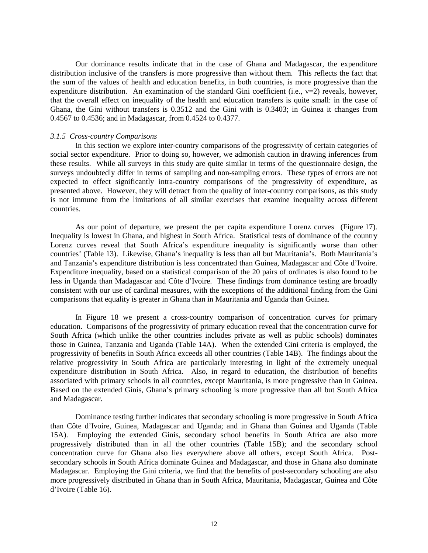Our dominance results indicate that in the case of Ghana and Madagascar, the expenditure distribution inclusive of the transfers is more progressive than without them. This reflects the fact that the sum of the values of health and education benefits, in both countries, is more progressive than the expenditure distribution. An examination of the standard Gini coefficient (i.e.,  $v=2$ ) reveals, however, that the overall effect on inequality of the health and education transfers is quite small: in the case of Ghana, the Gini without transfers is 0.3512 and the Gini with is 0.3403; in Guinea it changes from 0.4567 to 0.4536; and in Madagascar, from 0.4524 to 0.4377.

### *3.1.5 Cross-country Comparisons*

 In this section we explore inter-country comparisons of the progressivity of certain categories of social sector expenditure. Prior to doing so, however, we admonish caution in drawing inferences from these results. While all surveys in this study are quite similar in terms of the questionnaire design, the surveys undoubtedly differ in terms of sampling and non-sampling errors. These types of errors are not expected to effect significantly intra-country comparisons of the progressivity of expenditure, as presented above. However, they will detract from the quality of inter-country comparisons, as this study is not immune from the limitations of all similar exercises that examine inequality across different countries.

 As our point of departure, we present the per capita expenditure Lorenz curves (Figure 17). Inequality is lowest in Ghana, and highest in South Africa. Statistical tests of dominance of the country Lorenz curves reveal that South Africa's expenditure inequality is significantly worse than other countries' (Table 13). Likewise, Ghana's inequality is less than all but Mauritania's. Both Mauritania's and Tanzania's expenditure distribution is less concentrated than Guinea, Madagascar and Côte d'Ivoire. Expenditure inequality, based on a statistical comparison of the 20 pairs of ordinates is also found to be less in Uganda than Madagascar and Côte d'Ivoire. These findings from dominance testing are broadly consistent with our use of cardinal measures, with the exceptions of the additional finding from the Gini comparisons that equality is greater in Ghana than in Mauritania and Uganda than Guinea.

 In Figure 18 we present a cross-country comparison of concentration curves for primary education. Comparisons of the progressivity of primary education reveal that the concentration curve for South Africa (which unlike the other countries includes private as well as public schools) dominates those in Guinea, Tanzania and Uganda (Table 14A). When the extended Gini criteria is employed, the progressivity of benefits in South Africa exceeds all other countries (Table 14B). The findings about the relative progressivity in South Africa are particularly interesting in light of the extremely unequal expenditure distribution in South Africa. Also, in regard to education, the distribution of benefits associated with primary schools in all countries, except Mauritania, is more progressive than in Guinea. Based on the extended Ginis, Ghana's primary schooling is more progressive than all but South Africa and Madagascar.

Dominance testing further indicates that secondary schooling is more progressive in South Africa than Côte d'Ivoire, Guinea, Madagascar and Uganda; and in Ghana than Guinea and Uganda (Table 15A). Employing the extended Ginis, secondary school benefits in South Africa are also more progressively distributed than in all the other countries (Table 15B); and the secondary school concentration curve for Ghana also lies everywhere above all others, except South Africa. Postsecondary schools in South Africa dominate Guinea and Madagascar, and those in Ghana also dominate Madagascar. Employing the Gini criteria, we find that the benefits of post-secondary schooling are also more progressively distributed in Ghana than in South Africa, Mauritania, Madagascar, Guinea and Côte d'Ivoire (Table 16).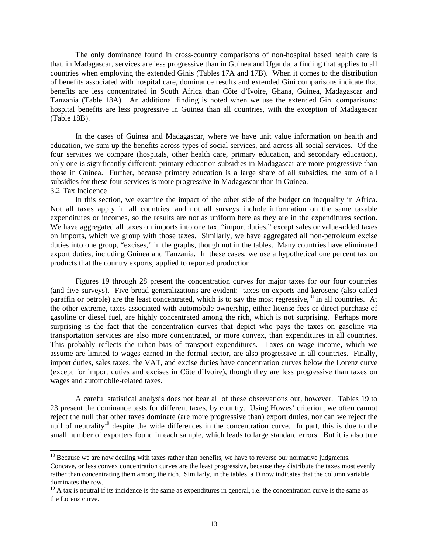The only dominance found in cross-country comparisons of non-hospital based health care is that, in Madagascar, services are less progressive than in Guinea and Uganda, a finding that applies to all countries when employing the extended Ginis (Tables 17A and 17B). When it comes to the distribution of benefits associated with hospital care, dominance results and extended Gini comparisons indicate that benefits are less concentrated in South Africa than Côte d'Ivoire, Ghana, Guinea, Madagascar and Tanzania (Table 18A). An additional finding is noted when we use the extended Gini comparisons: hospital benefits are less progressive in Guinea than all countries, with the exception of Madagascar (Table 18B).

 In the cases of Guinea and Madagascar, where we have unit value information on health and education, we sum up the benefits across types of social services, and across all social services. Of the four services we compare (hospitals, other health care, primary education, and secondary education), only one is significantly different: primary education subsidies in Madagascar are more progressive than those in Guinea. Further, because primary education is a large share of all subsidies, the sum of all subsidies for these four services is more progressive in Madagascar than in Guinea. 3.2 Tax Incidence

 In this section, we examine the impact of the other side of the budget on inequality in Africa. Not all taxes apply in all countries, and not all surveys include information on the same taxable expenditures or incomes, so the results are not as uniform here as they are in the expenditures section. We have aggregated all taxes on imports into one tax, "import duties," except sales or value-added taxes on imports, which we group with those taxes. Similarly, we have aggregated all non-petroleum excise duties into one group, "excises," in the graphs, though not in the tables. Many countries have eliminated export duties, including Guinea and Tanzania. In these cases, we use a hypothetical one percent tax on products that the country exports, applied to reported production.

 Figures 19 through 28 present the concentration curves for major taxes for our four countries (and five surveys). Five broad generalizations are evident: taxes on exports and kerosene (also called paraffin or petrole) are the least concentrated, which is to say the most regressive, $18$  in all countries. At the other extreme, taxes associated with automobile ownership, either license fees or direct purchase of gasoline or diesel fuel, are highly concentrated among the rich, which is not surprising. Perhaps more surprising is the fact that the concentration curves that depict who pays the taxes on gasoline via transportation services are also more concentrated, or more convex, than expenditures in all countries. This probably reflects the urban bias of transport expenditures. Taxes on wage income, which we assume are limited to wages earned in the formal sector, are also progressive in all countries. Finally, import duties, sales taxes, the VAT, and excise duties have concentration curves below the Lorenz curve (except for import duties and excises in Côte d'Ivoire), though they are less progressive than taxes on wages and automobile-related taxes.

 A careful statistical analysis does not bear all of these observations out, however. Tables 19 to 23 present the dominance tests for different taxes, by country. Using Howes' criterion, we often cannot reject the null that other taxes dominate (are more progressive than) export duties, nor can we reject the null of neutrality<sup>19</sup> despite the wide differences in the concentration curve. In part, this is due to the small number of exporters found in each sample, which leads to large standard errors. But it is also true

 $\overline{a}$ 

<sup>&</sup>lt;sup>18</sup> Because we are now dealing with taxes rather than benefits, we have to reverse our normative judgments.

Concave, or less convex concentration curves are the least progressive, because they distribute the taxes most evenly rather than concentrating them among the rich. Similarly, in the tables, a D now indicates that the column variable dominates the row.

 $19$  A tax is neutral if its incidence is the same as expenditures in general, i.e. the concentration curve is the same as the Lorenz curve.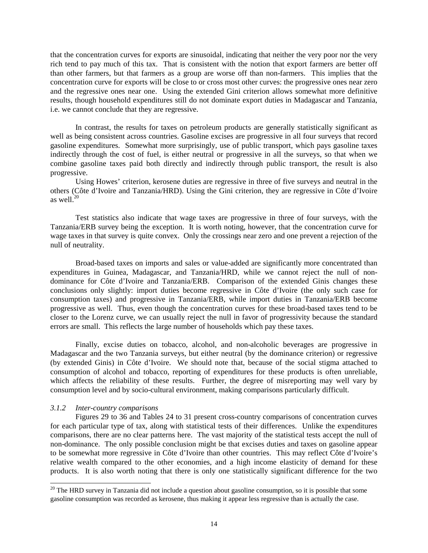that the concentration curves for exports are sinusoidal, indicating that neither the very poor nor the very rich tend to pay much of this tax. That is consistent with the notion that export farmers are better off than other farmers, but that farmers as a group are worse off than non-farmers. This implies that the concentration curve for exports will be close to or cross most other curves: the progressive ones near zero and the regressive ones near one. Using the extended Gini criterion allows somewhat more definitive results, though household expenditures still do not dominate export duties in Madagascar and Tanzania, i.e. we cannot conclude that they are regressive.

 In contrast, the results for taxes on petroleum products are generally statistically significant as well as being consistent across countries. Gasoline excises are progressive in all four surveys that record gasoline expenditures. Somewhat more surprisingly, use of public transport, which pays gasoline taxes indirectly through the cost of fuel, is either neutral or progressive in all the surveys, so that when we combine gasoline taxes paid both directly and indirectly through public transport, the result is also progressive.

Using Howes' criterion, kerosene duties are regressive in three of five surveys and neutral in the others (Côte d'Ivoire and Tanzania/HRD). Using the Gini criterion, they are regressive in Côte d'Ivoire as well. $20$ 

 Test statistics also indicate that wage taxes are progressive in three of four surveys, with the Tanzania/ERB survey being the exception. It is worth noting, however, that the concentration curve for wage taxes in that survey is quite convex. Only the crossings near zero and one prevent a rejection of the null of neutrality.

 Broad-based taxes on imports and sales or value-added are significantly more concentrated than expenditures in Guinea, Madagascar, and Tanzania/HRD, while we cannot reject the null of nondominance for Côte d'Ivoire and Tanzania/ERB. Comparison of the extended Ginis changes these conclusions only slightly: import duties become regressive in Côte d'Ivoire (the only such case for consumption taxes) and progressive in Tanzania/ERB, while import duties in Tanzania/ERB become progressive as well. Thus, even though the concentration curves for these broad-based taxes tend to be closer to the Lorenz curve, we can usually reject the null in favor of progressivity because the standard errors are small. This reflects the large number of households which pay these taxes.

 Finally, excise duties on tobacco, alcohol, and non-alcoholic beverages are progressive in Madagascar and the two Tanzania surveys, but either neutral (by the dominance criterion) or regressive (by extended Ginis) in Côte d'Ivoire. We should note that, because of the social stigma attached to consumption of alcohol and tobacco, reporting of expenditures for these products is often unreliable, which affects the reliability of these results. Further, the degree of misreporting may well vary by consumption level and by socio-cultural environment, making comparisons particularly difficult.

## *3.1.2 Inter-country comparisons*

 $\overline{a}$ 

 Figures 29 to 36 and Tables 24 to 31 present cross-country comparisons of concentration curves for each particular type of tax, along with statistical tests of their differences. Unlike the expenditures comparisons, there are no clear patterns here. The vast majority of the statistical tests accept the null of non-dominance. The only possible conclusion might be that excises duties and taxes on gasoline appear to be somewhat more regressive in Côte d'Ivoire than other countries. This may reflect Côte d'Ivoire's relative wealth compared to the other economies, and a high income elasticity of demand for these products. It is also worth noting that there is only one statistically significant difference for the two

 $20$  The HRD survey in Tanzania did not include a question about gasoline consumption, so it is possible that some gasoline consumption was recorded as kerosene, thus making it appear less regressive than is actually the case.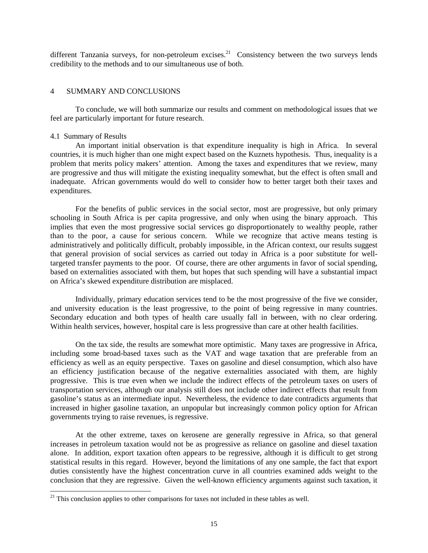different Tanzania surveys, for non-petroleum excises.<sup>21</sup> Consistency between the two surveys lends credibility to the methods and to our simultaneous use of both.

## 4 SUMMARY AND CONCLUSIONS

To conclude, we will both summarize our results and comment on methodological issues that we feel are particularly important for future research.

### 4.1 Summary of Results

 $\overline{a}$ 

 An important initial observation is that expenditure inequality is high in Africa. In several countries, it is much higher than one might expect based on the Kuznets hypothesis. Thus, inequality is a problem that merits policy makers' attention. Among the taxes and expenditures that we review, many are progressive and thus will mitigate the existing inequality somewhat, but the effect is often small and inadequate. African governments would do well to consider how to better target both their taxes and expenditures.

 For the benefits of public services in the social sector, most are progressive, but only primary schooling in South Africa is per capita progressive, and only when using the binary approach. This implies that even the most progressive social services go disproportionately to wealthy people, rather than to the poor, a cause for serious concern. While we recognize that active means testing is administratively and politically difficult, probably impossible, in the African context, our results suggest that general provision of social services as carried out today in Africa is a poor substitute for welltargeted transfer payments to the poor. Of course, there are other arguments in favor of social spending, based on externalities associated with them, but hopes that such spending will have a substantial impact on Africa's skewed expenditure distribution are misplaced.

 Individually, primary education services tend to be the most progressive of the five we consider, and university education is the least progressive, to the point of being regressive in many countries. Secondary education and both types of health care usually fall in between, with no clear ordering. Within health services, however, hospital care is less progressive than care at other health facilities.

 On the tax side, the results are somewhat more optimistic. Many taxes are progressive in Africa, including some broad-based taxes such as the VAT and wage taxation that are preferable from an efficiency as well as an equity perspective. Taxes on gasoline and diesel consumption, which also have an efficiency justification because of the negative externalities associated with them, are highly progressive. This is true even when we include the indirect effects of the petroleum taxes on users of transportation services, although our analysis still does not include other indirect effects that result from gasoline's status as an intermediate input. Nevertheless, the evidence to date contradicts arguments that increased in higher gasoline taxation, an unpopular but increasingly common policy option for African governments trying to raise revenues, is regressive.

 At the other extreme, taxes on kerosene are generally regressive in Africa, so that general increases in petroleum taxation would not be as progressive as reliance on gasoline and diesel taxation alone. In addition, export taxation often appears to be regressive, although it is difficult to get strong statistical results in this regard. However, beyond the limitations of any one sample, the fact that export duties consistently have the highest concentration curve in all countries examined adds weight to the conclusion that they are regressive. Given the well-known efficiency arguments against such taxation, it

 $21$ <sup>21</sup> This conclusion applies to other comparisons for taxes not included in these tables as well.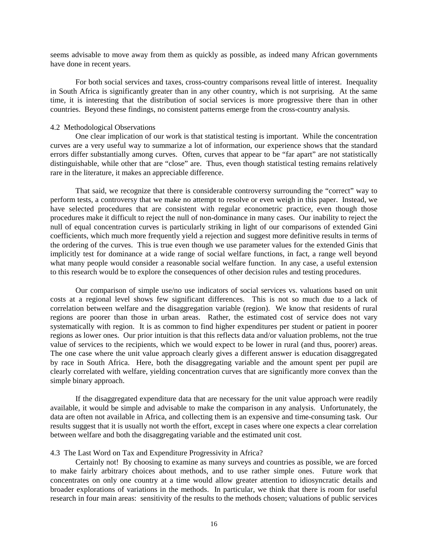seems advisable to move away from them as quickly as possible, as indeed many African governments have done in recent years.

 For both social services and taxes, cross-country comparisons reveal little of interest. Inequality in South Africa is significantly greater than in any other country, which is not surprising. At the same time, it is interesting that the distribution of social services is more progressive there than in other countries. Beyond these findings, no consistent patterns emerge from the cross-country analysis.

## 4.2 Methodological Observations

 One clear implication of our work is that statistical testing is important. While the concentration curves are a very useful way to summarize a lot of information, our experience shows that the standard errors differ substantially among curves. Often, curves that appear to be "far apart" are not statistically distinguishable, while other that are "close" are. Thus, even though statistical testing remains relatively rare in the literature, it makes an appreciable difference.

 That said, we recognize that there is considerable controversy surrounding the "correct" way to perform tests, a controversy that we make no attempt to resolve or even weigh in this paper. Instead, we have selected procedures that are consistent with regular econometric practice, even though those procedures make it difficult to reject the null of non-dominance in many cases. Our inability to reject the null of equal concentration curves is particularly striking in light of our comparisons of extended Gini coefficients, which much more frequently yield a rejection and suggest more definitive results in terms of the ordering of the curves. This is true even though we use parameter values for the extended Ginis that implicitly test for dominance at a wide range of social welfare functions, in fact, a range well beyond what many people would consider a reasonable social welfare function. In any case, a useful extension to this research would be to explore the consequences of other decision rules and testing procedures.

Our comparison of simple use/no use indicators of social services vs. valuations based on unit costs at a regional level shows few significant differences. This is not so much due to a lack of correlation between welfare and the disaggregation variable (region). We know that residents of rural regions are poorer than those in urban areas. Rather, the estimated cost of service does not vary systematically with region. It is as common to find higher expenditures per student or patient in poorer regions as lower ones. Our prior intuition is that this reflects data and/or valuation problems, not the true value of services to the recipients, which we would expect to be lower in rural (and thus, poorer) areas. The one case where the unit value approach clearly gives a different answer is education disaggregated by race in South Africa. Here, both the disaggregating variable and the amount spent per pupil are clearly correlated with welfare, yielding concentration curves that are significantly more convex than the simple binary approach.

 If the disaggregated expenditure data that are necessary for the unit value approach were readily available, it would be simple and advisable to make the comparison in any analysis. Unfortunately, the data are often not available in Africa, and collecting them is an expensive and time-consuming task. Our results suggest that it is usually not worth the effort, except in cases where one expects a clear correlation between welfare and both the disaggregating variable and the estimated unit cost.

## 4.3 The Last Word on Tax and Expenditure Progressivity in Africa?

 Certainly not! By choosing to examine as many surveys and countries as possible, we are forced to make fairly arbitrary choices about methods, and to use rather simple ones. Future work that concentrates on only one country at a time would allow greater attention to idiosyncratic details and broader explorations of variations in the methods. In particular, we think that there is room for useful research in four main areas: sensitivity of the results to the methods chosen; valuations of public services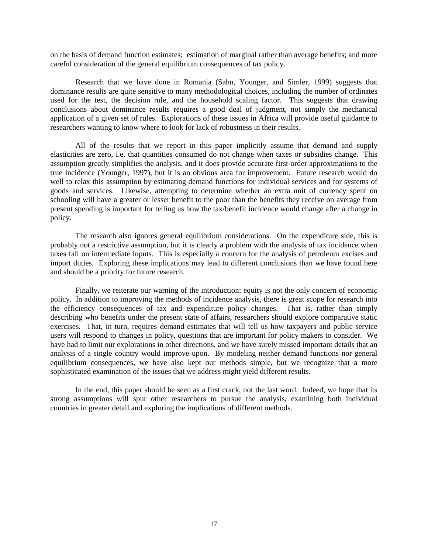on the basis of demand function estimates; estimation of marginal rather than average benefits; and more careful consideration of the general equilibrium consequences of tax policy.

Research that we have done in Romania (Sahn, Younger, and Simler, 1999) suggests that dominance results are quite sensitive to many methodological choices, including the number of ordinates used for the test, the decision rule, and the household scaling factor. This suggests that drawing conclusions about dominance results requires a good deal of judgment, not simply the mechanical application of a given set of rules. Explorations of these issues in Africa will provide useful guidance to researchers wanting to know where to look for lack of robustness in their results.

 All of the results that we report in this paper implicitly assume that demand and supply elasticities are zero, i.e. that quantities consumed do not change when taxes or subsidies change. This assumption greatly simplifies the analysis, and it does provide accurate first-order approximations to the true incidence (Younger, 1997), but it is an obvious area for improvement. Future research would do well to relax this assumption by estimating demand functions for individual services and for systems of goods and services. Likewise, attempting to determine whether an extra unit of currency spent on schooling will have a greater or lesser benefit to the poor than the benefits they receive on average from present spending is important for telling us how the tax/benefit incidence would change after a change in policy.

 The research also ignores general equilibrium considerations. On the expenditure side, this is probably not a restrictive assumption, but it is clearly a problem with the analysis of tax incidence when taxes fall on intermediate inputs. This is especially a concern for the analysis of petroleum excises and import duties. Exploring these implications may lead to different conclusions than we have found here and should be a priority for future research.

 Finally, we reiterate our warning of the introduction: equity is not the only concern of economic policy. In addition to improving the methods of incidence analysis, there is great scope for research into the efficiency consequences of tax and expenditure policy changes. That is, rather than simply describing who benefits under the present state of affairs, researchers should explore comparative static exercises. That, in turn, requires demand estimates that will tell us how taxpayers and public service users will respond to changes in policy, questions that are important for policy makers to consider. We have had to limit our explorations in other directions, and we have surely missed important details that an analysis of a single country would improve upon. By modeling neither demand functions nor general equilibrium consequences, we have also kept our methods simple, but we recognize that a more sophisticated examination of the issues that we address might yield different results.

 In the end, this paper should be seen as a first crack, not the last word. Indeed, we hope that its strong assumptions will spur other researchers to pursue the analysis, examining both individual countries in greater detail and exploring the implications of different methods.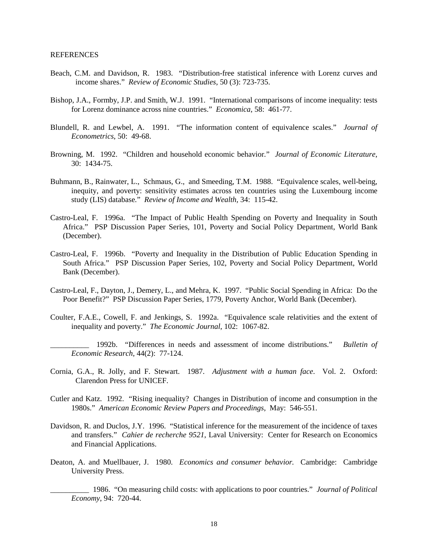- Beach, C.M. and Davidson, R. 1983. "Distribution-free statistical inference with Lorenz curves and income shares." *Review of Economic Studies*, 50 (3): 723-735.
- Bishop, J.A., Formby, J.P. and Smith, W.J. 1991. "International comparisons of income inequality: tests for Lorenz dominance across nine countries." *Economica*, 58: 461-77.
- Blundell, R. and Lewbel, A. 1991. "The information content of equivalence scales." *Journal of Econometrics*, 50: 49-68.
- Browning, M. 1992. "Children and household economic behavior*.*" *Journal of Economic Literature*, 30: 1434-75.
- Buhmann, B., Rainwater, L., Schmaus, G., and Smeeding, T.M. 1988. "Equivalence scales, well-being, inequity, and poverty: sensitivity estimates across ten countries using the Luxembourg income study (LIS) database*.*" *Review of Income and Wealth,* 34: 115-42.
- Castro-Leal, F. 1996a. "The Impact of Public Health Spending on Poverty and Inequality in South Africa." PSP Discussion Paper Series, 101, Poverty and Social Policy Department, World Bank (December).
- Castro-Leal, F. 1996b. "Poverty and Inequality in the Distribution of Public Education Spending in South Africa." PSP Discussion Paper Series, 102, Poverty and Social Policy Department, World Bank (December).
- Castro-Leal, F., Dayton, J., Demery, L., and Mehra, K. 1997. "Public Social Spending in Africa: Do the Poor Benefit?" PSP Discussion Paper Series, 1779, Poverty Anchor, World Bank (December).
- Coulter, F.A.E., Cowell, F. and Jenkings, S. 1992a. "Equivalence scale relativities and the extent of inequality and poverty." *The Economic Journal*, 102: 1067-82.
	- \_\_\_\_\_\_\_\_\_\_ 1992b. "Differences in needs and assessment of income distributions." *Bulletin of Economic Research*, 44(2): 77-124.
- Cornia, G.A., R. Jolly, and F. Stewart. 1987. *Adjustment with a human face*. Vol. 2. Oxford: Clarendon Press for UNICEF.
- Cutler and Katz. 1992. "Rising inequality? Changes in Distribution of income and consumption in the 1980s." *American Economic Review Papers and Proceedings*, May: 546-551.
- Davidson, R. and Duclos, J.Y. 1996. "Statistical inference for the measurement of the incidence of taxes and transfers." *Cahier de recherche 9521*, Laval University: Center for Research on Economics and Financial Applications.
- Deaton, A. and Muellbauer, J. 1980. *Economics and consumer behavior.* Cambridge: Cambridge University Press.
	- \_\_\_\_\_\_\_\_\_\_ 1986. "On measuring child costs: with applications to poor countries." *Journal of Political Economy*, 94: 720-44.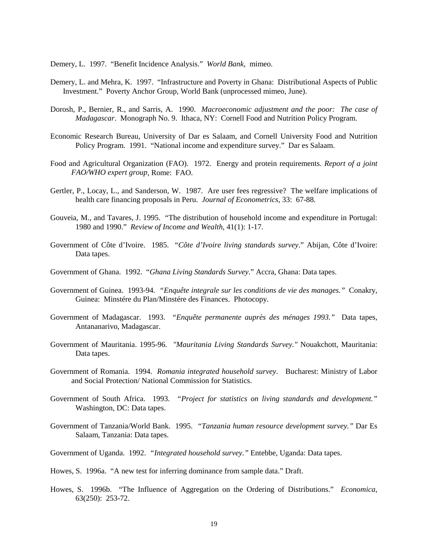Demery, L. 1997. "Benefit Incidence Analysis." *World Bank,* mimeo.

- Demery, L. and Mehra, K. 1997. "Infrastructure and Poverty in Ghana: Distributional Aspects of Public Investment." Poverty Anchor Group, World Bank (unprocessed mimeo, June).
- Dorosh, P., Bernier, R., and Sarris, A. 1990. *Macroeconomic adjustment and the poor: The case of Madagascar*. Monograph No. 9. Ithaca, NY: Cornell Food and Nutrition Policy Program.
- Economic Research Bureau, University of Dar es Salaam, and Cornell University Food and Nutrition Policy Program. 1991. "National income and expenditure survey." Dar es Salaam.
- Food and Agricultural Organization (FAO). 1972. Energy and protein requirements. *Report of a joint FAO/WHO expert group*, Rome: FAO.
- Gertler, P., Locay, L., and Sanderson, W. 1987. Are user fees regressive? The welfare implications of health care financing proposals in Peru. *Journal of Econometrics*, 33: 67-88.
- Gouveia, M., and Tavares, J. 1995. "The distribution of household income and expenditure in Portugal: 1980 and 1990." *Review of Income and Wealth*, 41(1): 1-17.
- Government of Côte d'Ivoire. 1985. "*Côte d'Ivoire living standards survey*." Abijan, Côte d'Ivoire: Data tapes.
- Government of Ghana. 1992. "*Ghana Living Standards Survey*." Accra, Ghana: Data tapes.
- Government of Guinea. 1993-94. *"Enquête integrale sur les conditions de vie des manages."* Conakry, Guinea: Minstére du Plan/Minstére des Finances. Photocopy.
- Government of Madagascar. 1993. *"Enquête permanente auprès des ménages 1993."* Data tapes, Antananarivo, Madagascar.
- Government of Mauritania. 1995-96. *"Mauritania Living Standards Survey."* Nouakchott, Mauritania: Data tapes.
- Government of Romania. 1994. *Romania integrated household survey*. Bucharest: Ministry of Labor and Social Protection/ National Commission for Statistics.
- Government of South Africa. 1993. *"Project for statistics on living standards and development."* Washington, DC: Data tapes.
- Government of Tanzania/World Bank. 1995. *"Tanzania human resource development survey."* Dar Es Salaam, Tanzania: Data tapes.
- Government of Uganda. 1992. *"Integrated household survey."* Entebbe, Uganda: Data tapes.
- Howes, S. 1996a. "A new test for inferring dominance from sample data." Draft.
- Howes, S. 1996b. "The Influence of Aggregation on the Ordering of Distributions." *Economica*, 63(250): 253-72.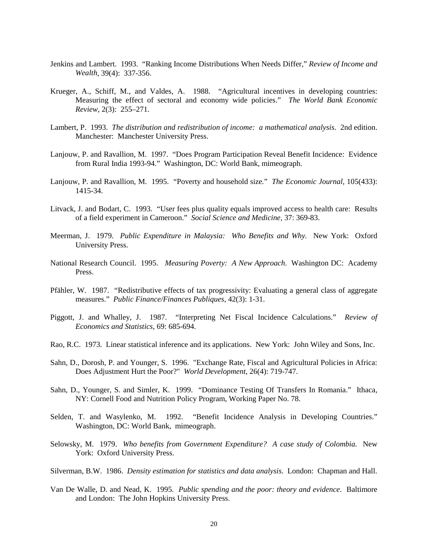- Jenkins and Lambert. 1993. "Ranking Income Distributions When Needs Differ," *Review of Income and Wealth*, 39(4): 337-356.
- Krueger, A., Schiff, M., and Valdes, A. 1988. "Agricultural incentives in developing countries: Measuring the effect of sectoral and economy wide policies." *The World Bank Economic Review,* 2(3): 255–271.
- Lambert, P. 1993. *The distribution and redistribution of income: a mathematical analysis*. 2nd edition. Manchester: Manchester University Press.
- Lanjouw, P. and Ravallion, M. 1997. "Does Program Participation Reveal Benefit Incidence: Evidence from Rural India 1993-94." Washington, DC: World Bank, mimeograph.
- Lanjouw, P. and Ravallion, M. 1995. "Poverty and household size*.*" *The Economic Journal*, 105(433): 1415-34.
- Litvack, J. and Bodart, C. 1993. "User fees plus quality equals improved access to health care: Results of a field experiment in Cameroon." *Social Science and Medicine,* 37: 369-83.
- Meerman, J. 1979. *Public Expenditure in Malaysia: Who Benefits and Why.* New York: Oxford University Press.
- National Research Council. 1995. *Measuring Poverty: A New Approach*. Washington DC: Academy Press.
- Pfähler, W. 1987. "Redistributive effects of tax progressivity: Evaluating a general class of aggregate measures." *Public Finance/Finances Publiques*, 42(3): 1-31.
- Piggott, J. and Whalley, J. 1987. "Interpreting Net Fiscal Incidence Calculations." *Review of Economics and Statistics*, 69: 685-694.
- Rao, R.C. 1973. Linear statistical inference and its applications. New York: John Wiley and Sons, Inc.
- Sahn, D., Dorosh, P. and Younger, S. 1996. "Exchange Rate, Fiscal and Agricultural Policies in Africa: Does Adjustment Hurt the Poor?" *World Development*, 26(4): 719-747.
- Sahn, D., Younger, S. and Simler, K. 1999. "Dominance Testing Of Transfers In Romania." Ithaca, NY: Cornell Food and Nutrition Policy Program, Working Paper No. 78.
- Selden, T. and Wasylenko, M. 1992. "Benefit Incidence Analysis in Developing Countries." Washington, DC: World Bank, mimeograph.
- Selowsky, M. 1979. *Who benefits from Government Expenditure? A case study of Colombia.* New York: Oxford University Press.
- Silverman, B.W. 1986. *Density estimation for statistics and data analysis*. London: Chapman and Hall.
- Van De Walle, D. and Nead, K. 1995. *Public spending and the poor: theory and evidence*. Baltimore and London: The John Hopkins University Press.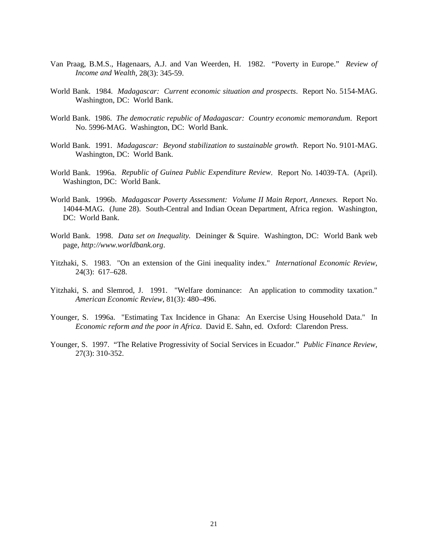- Van Praag, B.M.S., Hagenaars, A.J. and Van Weerden, H. 1982. "Poverty in Europe." *Review of Income and Wealth*, 28(3): 345-59.
- World Bank. 1984. *Madagascar: Current economic situation and prospects*. Report No. 5154-MAG. Washington, DC: World Bank.
- World Bank. 1986. *The democratic republic of Madagascar: Country economic memorandum*. Report No. 5996-MAG. Washington, DC: World Bank.
- World Bank. 1991. *Madagascar: Beyond stabilization to sustainable growth*. Report No. 9101-MAG. Washington, DC: World Bank.
- World Bank. 1996a. *Republic of Guinea Public Expenditure Review*. Report No. 14039-TA. (April). Washington, DC: World Bank.
- World Bank. 1996b. *Madagascar Poverty Assessment: Volume II Main Report, Annexes.* Report No. 14044-MAG. (June 28). South-Central and Indian Ocean Department, Africa region. Washington, DC: World Bank.
- World Bank. 1998. *Data set on Inequality.* Deininger & Squire. Washington, DC: World Bank web page, *http://www.worldbank.org*.
- Yitzhaki, S. 1983. "On an extension of the Gini inequality index." *International Economic Review*, 24(3): 617–628.
- Yitzhaki, S. and Slemrod, J. 1991. "Welfare dominance: An application to commodity taxation." *American Economic Review*, 81(3): 480–496.
- Younger, S. 1996a. "Estimating Tax Incidence in Ghana: An Exercise Using Household Data." In *Economic reform and the poor in Africa*. David E. Sahn, ed. Oxford: Clarendon Press.
- Younger, S. 1997. "The Relative Progressivity of Social Services in Ecuador." *Public Finance Review,*  27(3): 310-352.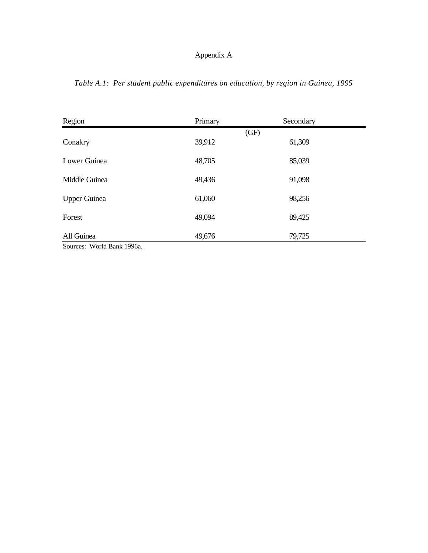|  |  | Table A.1: Per student public expenditures on education, by region in Guinea, 1995 |  |  |  |
|--|--|------------------------------------------------------------------------------------|--|--|--|
|  |  |                                                                                    |  |  |  |

| Region                                  | Primary | Secondary |
|-----------------------------------------|---------|-----------|
|                                         | (GF)    |           |
| Conakry                                 | 39,912  | 61,309    |
| Lower Guinea                            | 48,705  | 85,039    |
| Middle Guinea                           | 49,436  | 91,098    |
| <b>Upper Guinea</b>                     | 61,060  | 98,256    |
| Forest                                  | 49,094  | 89,425    |
| All Guinea<br>Sources: World Bank 1996a | 49,676  | 79,725    |

Sources: World Bank 1996a.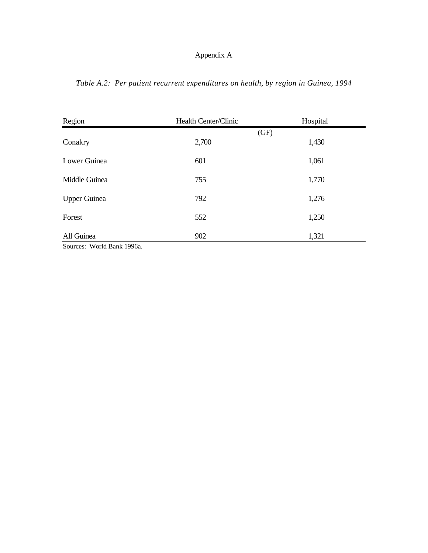*Table A.2: Per patient recurrent expenditures on health, by region in Guinea, 1994*

| Region                                                         | Health Center/Clinic | Hospital |
|----------------------------------------------------------------|----------------------|----------|
|                                                                |                      | (GF)     |
| Conakry                                                        | 2,700                | 1,430    |
| Lower Guinea                                                   | 601                  | 1,061    |
|                                                                |                      |          |
| Middle Guinea                                                  | 755                  | 1,770    |
| <b>Upper Guinea</b>                                            | 792                  | 1,276    |
|                                                                |                      |          |
| Forest                                                         | 552                  | 1,250    |
| All Guinea                                                     | 902                  | 1,321    |
| $C_{\text{outpose}}$ $W_{\text{odd}}$ $D_{\text{odd}}$ $100\%$ |                      |          |

Sources: World Bank 1996a.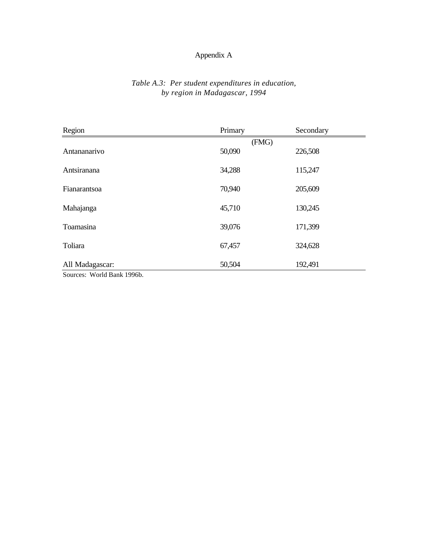## *Table A.3: Per student expenditures in education, by region in Madagascar, 1994*

| Region                     | Primary | Secondary |
|----------------------------|---------|-----------|
|                            | (FMG)   |           |
| Antananarivo               | 50,090  | 226,508   |
| Antsiranana                | 34,288  | 115,247   |
| Fianarantsoa               | 70,940  | 205,609   |
|                            |         |           |
| Mahajanga                  | 45,710  | 130,245   |
| Toamasina                  | 39,076  | 171,399   |
| Toliara                    | 67,457  | 324,628   |
| All Madagascar:            | 50,504  | 192,491   |
| Sources: World Bank 1996b. |         |           |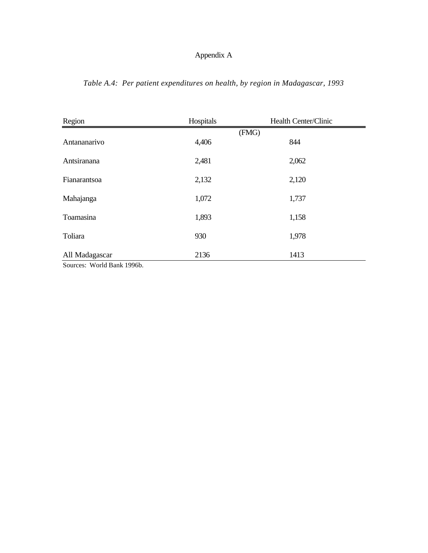| Region                                                                                                                                     | Hospitals | Health Center/Clinic |
|--------------------------------------------------------------------------------------------------------------------------------------------|-----------|----------------------|
|                                                                                                                                            |           | (FMG)                |
| Antananarivo                                                                                                                               | 4,406     | 844                  |
| Antsiranana                                                                                                                                | 2,481     | 2,062                |
| Fianarantsoa                                                                                                                               | 2,132     | 2,120                |
| Mahajanga                                                                                                                                  | 1,072     | 1,737                |
| Toamasina                                                                                                                                  | 1,893     | 1,158                |
| Toliara                                                                                                                                    | 930       | 1,978                |
| All Madagascar<br>$\alpha$ $\mathbf{W}$ $\mathbf{1}$ $\mathbf{1}$ $\mathbf{B}$ $\mathbf{1}$ $\mathbf{1}$ $\alpha \alpha \alpha \mathbf{1}$ | 2136      | 1413                 |

*Table A.4: Per patient expenditures on health, by region in Madagascar, 1993*

Sources: World Bank 1996b.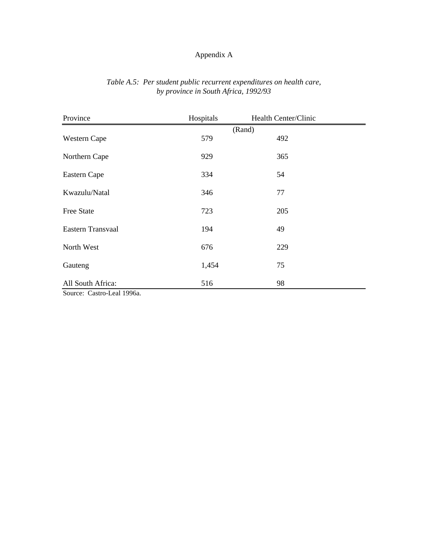| Province                                                                         | Hospitals | Health Center/Clinic |  |  |  |  |
|----------------------------------------------------------------------------------|-----------|----------------------|--|--|--|--|
|                                                                                  | (Rand)    |                      |  |  |  |  |
| Western Cape                                                                     | 579       | 492                  |  |  |  |  |
| Northern Cape                                                                    | 929       | 365                  |  |  |  |  |
| Eastern Cape                                                                     | 334       | 54                   |  |  |  |  |
| Kwazulu/Natal                                                                    | 346       | 77                   |  |  |  |  |
| <b>Free State</b>                                                                | 723       | 205                  |  |  |  |  |
| Eastern Transvaal                                                                | 194       | 49                   |  |  |  |  |
| North West                                                                       | 676       | 229                  |  |  |  |  |
| Gauteng                                                                          | 1,454     | 75                   |  |  |  |  |
| All South Africa:                                                                | 516       | 98                   |  |  |  |  |
| $\Gamma_{\text{out}}$ $\Gamma_{\text{out}}$ $\Gamma_{\text{out}}$ 100 $\epsilon$ |           |                      |  |  |  |  |

## *Table A.5: Per student public recurrent expenditures on health care, by province in South Africa, 1992/93*

Source: Castro-Leal 1996a.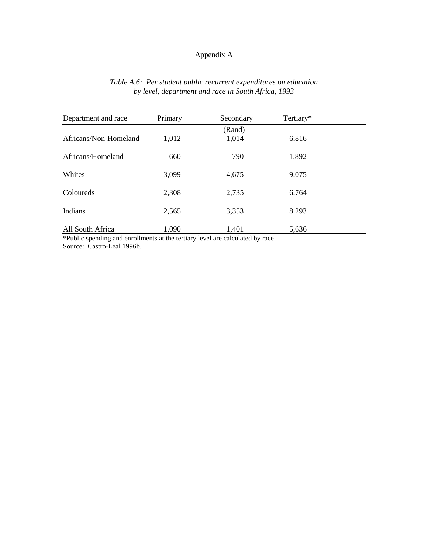## *Table A.6: Per student public recurrent expenditures on education by level, department and race in South Africa, 1993*

| Department and race                                                                                   | Primary | Secondary | Tertiary* |  |
|-------------------------------------------------------------------------------------------------------|---------|-----------|-----------|--|
|                                                                                                       |         | (Rand)    |           |  |
| Africans/Non-Homeland                                                                                 | 1,012   | 1,014     | 6,816     |  |
| Africans/Homeland                                                                                     | 660     | 790       | 1,892     |  |
| Whites                                                                                                | 3,099   | 4,675     | 9,075     |  |
| Coloureds                                                                                             | 2,308   | 2,735     | 6,764     |  |
| Indians                                                                                               | 2,565   | 3,353     | 8.293     |  |
| All South Africa<br>$*D1$ is a considered and equal means of the tentions lessed and colored by means | 1,090   | 1,401     | 5,636     |  |

\*Public spending and enrollments at the tertiary level are calculated by race Source: Castro-Leal 1996b.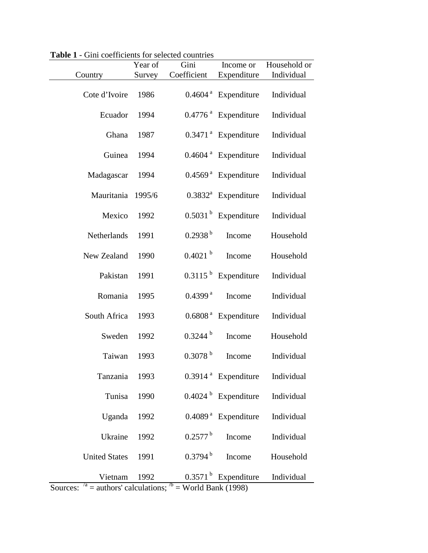|                      | Year of | Gini                  | Income or                         | Household or |
|----------------------|---------|-----------------------|-----------------------------------|--------------|
| Country              | Survey  | Coefficient           | Expenditure                       | Individual   |
| Cote d'Ivoire        | 1986    |                       | $0.4604$ <sup>a</sup> Expenditure | Individual   |
| Ecuador              | 1994    |                       | 0.4776 <sup>ª</sup> Expenditure   | Individual   |
| Ghana                | 1987    |                       | $0.3471$ <sup>a</sup> Expenditure | Individual   |
| Guinea               | 1994    |                       | $0.4604$ <sup>a</sup> Expenditure | Individual   |
| Madagascar           | 1994    |                       | $0.4569$ <sup>a</sup> Expenditure | Individual   |
| Mauritania           | 1995/6  |                       | $0.3832^a$ Expenditure            | Individual   |
| Mexico               | 1992    |                       | $0.5031b$ Expenditure             | Individual   |
| Netherlands          | 1991    | 0.2938 <sup>b</sup>   | Income                            | Household    |
| New Zealand          | 1990    | 0.4021 h              | Income                            | Household    |
| Pakistan             | 1991    |                       | $0.3115b$ Expenditure             | Individual   |
| Romania              | 1995    | 0.4399 <sup>a</sup>   | Income                            | Individual   |
| South Africa         | 1993    |                       | 0.6808 <sup>ª</sup> Expenditure   | Individual   |
| Sweden               | 1992    | $0.3244^{b}$          | Income                            | Household    |
| Taiwan               | 1993    | 0.3078 <sup>b</sup>   | Income                            | Individual   |
| Tanzania             | 1993    |                       | $0.3914$ <sup>a</sup> Expenditure | Individual   |
| Tunisa               | 1990    |                       | $0.4024b$ Expenditure             | Individual   |
| Uganda               | 1992    |                       | $0.4089$ <sup>a</sup> Expenditure | Individual   |
| Ukraine              | 1992    | $0.2577^{\mathrm{b}}$ | Income                            | Individual   |
| <b>United States</b> | 1991    | 0.3794 <sup>b</sup>   | Income                            | Household    |
| Vietnam<br>/a        | 1992    | $0.3571^{b}$<br>/b    | Expenditure                       | Individual   |

**Table 1** - Gini coefficients for selected countries

Sources:  $^{\prime a}$  = authors' calculations;  $^{\prime b}$  = World Bank (1998)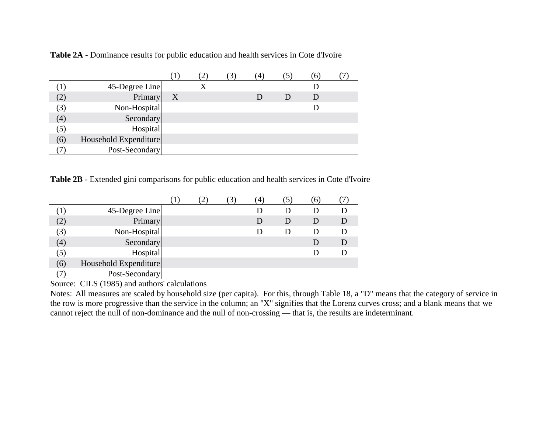|     |                       |   |  | $\left(4\right)$ |              | 6. |  |
|-----|-----------------------|---|--|------------------|--------------|----|--|
|     | 45-Degree Line        |   |  |                  |              |    |  |
| (2) | Primary               | X |  |                  | $\mathbf{D}$ | D  |  |
| (3) | Non-Hospital          |   |  |                  |              |    |  |
| (4) | Secondary             |   |  |                  |              |    |  |
| (5) | Hospital              |   |  |                  |              |    |  |
| (6) | Household Expenditure |   |  |                  |              |    |  |
|     | Post-Secondary        |   |  |                  |              |    |  |

**Table 2A** - Dominance results for public education and health services in Cote d'Ivoire

**Table 2B** - Extended gini comparisons for public education and health services in Cote d'Ivoire

|     |                       |  | 4. |              | $\sigma$ |  |
|-----|-----------------------|--|----|--------------|----------|--|
| (1) | 45-Degree Line        |  |    |              |          |  |
| (2) | Primary               |  | D  | $\mathsf{D}$ | $\Box$   |  |
| (3) | Non-Hospital          |  |    |              | Ð        |  |
| (4) | Secondary             |  |    |              |          |  |
| (5) | Hospital              |  |    |              |          |  |
| (6) | Household Expenditure |  |    |              |          |  |
|     | Post-Secondary        |  |    |              |          |  |

Source: CILS (1985) and authors' calculations

Notes: All measures are scaled by household size (per capita). For this, through Table 18, a "D" means that the category of service in the row is more progressive than the service in the column; an "X" signifies that the Lorenz curves cross; and a blank means that we cannot reject the null of non-dominance and the null of non-crossing — that is, the results are indeterminant.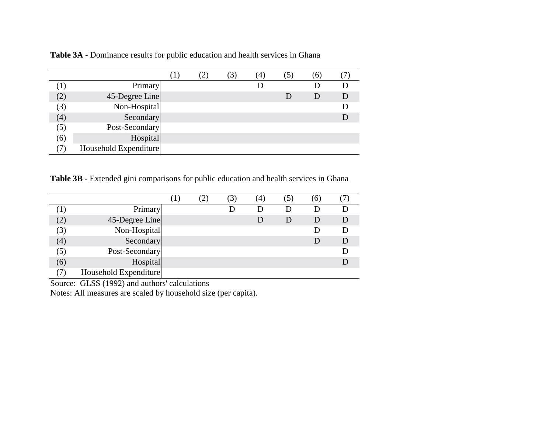|     |                       |  | (4) | [6] |  |
|-----|-----------------------|--|-----|-----|--|
|     | Primary               |  |     |     |  |
| (2) | 45-Degree Line        |  |     | D   |  |
| (3) | Non-Hospital          |  |     |     |  |
| (4) | Secondary             |  |     |     |  |
| (5) | Post-Secondary        |  |     |     |  |
| (6) | Hospital              |  |     |     |  |
|     | Household Expenditure |  |     |     |  |

**Table 3A** - Dominance results for public education and health services in Ghana

**Table 3B** - Extended gini comparisons for public education and health services in Ghana

|         |                       |  | 3) | (4) | C.     | (6) |  |
|---------|-----------------------|--|----|-----|--------|-----|--|
| $\perp$ | Primary               |  |    | Đ   | Ð      | D   |  |
| (2)     | 45-Degree Line        |  |    |     | $\Box$ |     |  |
| (3)     | Non-Hospital          |  |    |     |        |     |  |
| (4)     | Secondary             |  |    |     |        |     |  |
| (5)     | Post-Secondary        |  |    |     |        |     |  |
| (6)     | Hospital              |  |    |     |        |     |  |
|         | Household Expenditure |  |    |     |        |     |  |

Source: GLSS (1992) and authors' calculations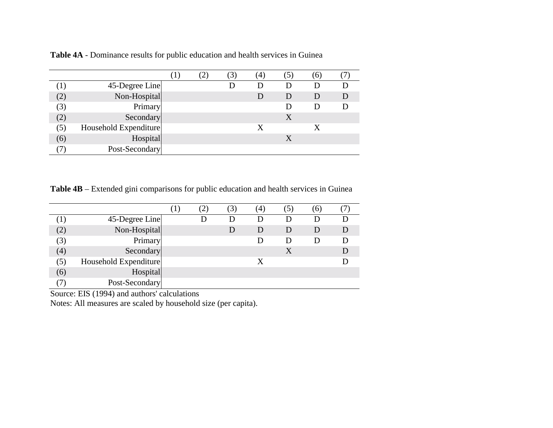|               |                       |  | $\mathfrak{Z}$ | $\left(4\right)$ |   | (6) |  |
|---------------|-----------------------|--|----------------|------------------|---|-----|--|
| $\mathcal{A}$ | 45-Degree Line        |  |                |                  |   |     |  |
| (2)           | Non-Hospital          |  |                |                  | D | D   |  |
| (3)           | Primary               |  |                |                  |   |     |  |
| (2)           | Secondary             |  |                |                  | X |     |  |
| (5)           | Household Expenditure |  |                | X                |   | X   |  |
| (6)           | Hospital              |  |                |                  | X |     |  |
|               | Post-Secondary        |  |                |                  |   |     |  |

**Table 4A** - Dominance results for public education and health services in Guinea

**Table 4B** – Extended gini comparisons for public education and health services in Guinea

|                     |                       |  | $\left( 4\right)$ |   | 6 |   |
|---------------------|-----------------------|--|-------------------|---|---|---|
| $\langle 1 \rangle$ | 45-Degree Line        |  |                   | Ð |   |   |
| (2)                 | Non-Hospital          |  | D                 | D | D | D |
| (3)                 | Primary               |  |                   | Ð |   |   |
| (4)                 | Secondary             |  |                   |   |   |   |
| (5)                 | Household Expenditure |  | X                 |   |   |   |
| (6)                 | Hospital              |  |                   |   |   |   |
|                     | Post-Secondary        |  |                   |   |   |   |

Source: EIS (1994) and authors' calculations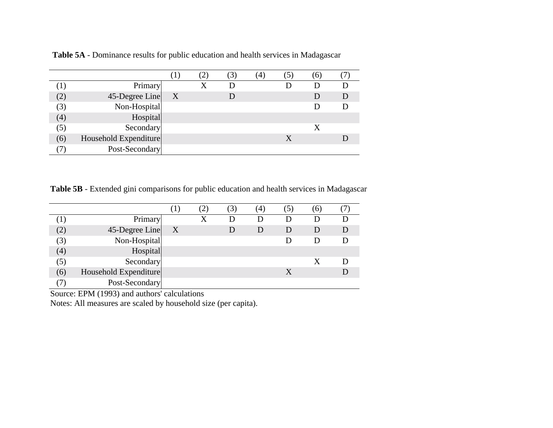|     |                       |   | $\mathfrak{Z}$ | (4) | $\mathsf{h}$ |  |
|-----|-----------------------|---|----------------|-----|--------------|--|
| ιI. | Primary               |   |                |     |              |  |
| (2) | 45-Degree Line        | X | D              |     |              |  |
| (3) | Non-Hospital          |   |                |     |              |  |
| (4) | Hospital              |   |                |     |              |  |
| (5) | Secondary             |   |                |     | X            |  |
| (6) | Household Expenditure |   |                |     |              |  |
|     | Post-Secondary        |   |                |     |              |  |

 **Table 5A** - Dominance results for public education and health services in Madagascar

**Table 5B** - Extended gini comparisons for public education and health services in Madagascar

|                   |                       |                           | 3) | (4) | וכ | 6) |   |
|-------------------|-----------------------|---------------------------|----|-----|----|----|---|
| $\perp$           | Primary               |                           | Ð  |     |    | D  |   |
| (2)               | 45-Degree Line        | $\boldsymbol{\mathrm{X}}$ |    | Ð   | D  | D  | D |
| (3)               | Non-Hospital          |                           |    |     |    | D  |   |
| $\left( 4\right)$ | Hospital              |                           |    |     |    |    |   |
| (5)               | Secondary             |                           |    |     |    |    |   |
| (6)               | Household Expenditure |                           |    |     | X  |    |   |
|                   | Post-Secondary        |                           |    |     |    |    |   |

Source: EPM (1993) and authors' calculations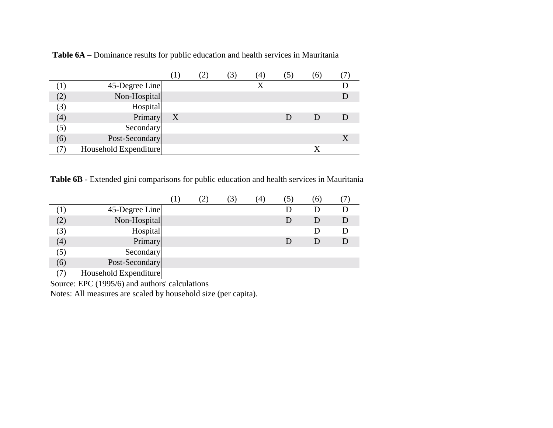|     |                       |   | $\mathcal{E}$ | (4) | $\Theta$ |  |
|-----|-----------------------|---|---------------|-----|----------|--|
|     | 45-Degree Line        |   |               | X   |          |  |
|     | Non-Hospital          |   |               |     |          |  |
| (3) | Hospital              |   |               |     |          |  |
| (4) | Primary               | X |               |     |          |  |
| (5) | Secondary             |   |               |     |          |  |
| (6) | Post-Secondary        |   |               |     |          |  |
|     | Household Expenditure |   |               |     |          |  |

 **Table 6A** – Dominance results for public education and health services in Mauritania

**Table 6B** - Extended gini comparisons for public education and health services in Mauritania

|           |                       |  | $\left(4\right)$ | (6) |  |
|-----------|-----------------------|--|------------------|-----|--|
| $\perp$ . | 45-Degree Line        |  |                  |     |  |
| (2)       | Non-Hospital          |  |                  | D   |  |
| (3)       | Hospital              |  |                  |     |  |
| (4)       | Primary               |  |                  | D   |  |
| (5)       | Secondary             |  |                  |     |  |
| (6)       | Post-Secondary        |  |                  |     |  |
| (7)       | Household Expenditure |  |                  |     |  |

Source: EPC (1995/6) and authors' calculations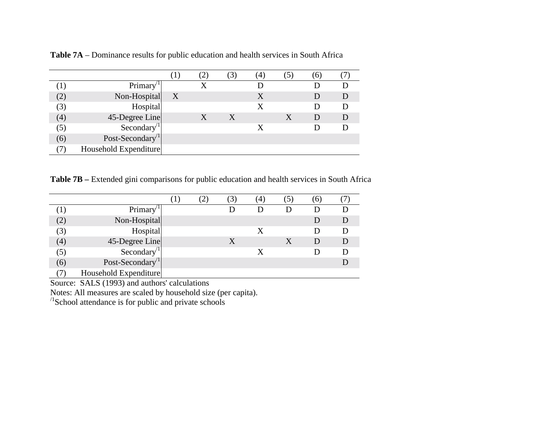|     |                             |              |   |   | $^{\prime}$ 4. | $\theta$ |  |
|-----|-----------------------------|--------------|---|---|----------------|----------|--|
|     | Primary <sup>1</sup>        |              |   |   |                |          |  |
|     | Non-Hospital                | $\mathbf{X}$ |   |   | X              |          |  |
| (3) | Hospital                    |              |   |   | X              |          |  |
| (4) | 45-Degree Line              |              | X | X |                | D        |  |
| (5) | Secondary $\sqrt{1}$        |              |   |   | X              |          |  |
| (6) | Post-Secondary <sup>1</sup> |              |   |   |                |          |  |
|     | Household Expenditure       |              |   |   |                |          |  |

**Table 7A** – Dominance results for public education and health services in South Africa

**Table 7B –** Extended gini comparisons for public education and health services in South Africa

|                   |                             |  |   | 4 | 5 | $\epsilon$ |  |
|-------------------|-----------------------------|--|---|---|---|------------|--|
|                   | Primary                     |  |   |   |   |            |  |
| (2)               | Non-Hospital                |  |   |   |   |            |  |
| (3)               | Hospital                    |  |   | X |   |            |  |
| $\left( 4\right)$ | 45-Degree Line              |  | Χ |   |   | D          |  |
| (5)               | Secondary <sup>11</sup>     |  |   | X |   |            |  |
| (6)               | Post-Secondary <sup>1</sup> |  |   |   |   |            |  |
|                   | Household Expenditure       |  |   |   |   |            |  |

Source: SALS (1993) and authors' calculations

Notes: All measures are scaled by household size (per capita).

 $\frac{1}{2}$ School attendance is for public and private schools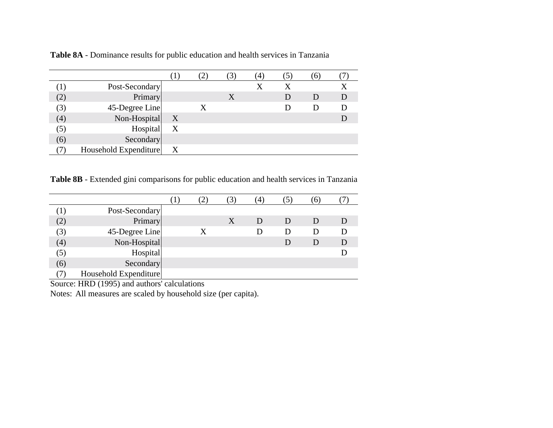|     |                       |   | $\mathfrak{Z}$   | $\left(4\right)$ | $\sigma$ |   |
|-----|-----------------------|---|------------------|------------------|----------|---|
| (1  | Post-Secondary        |   |                  |                  |          |   |
| (2) | Primary               |   | $\boldsymbol{X}$ |                  | D        | D |
| (3) | 45-Degree Line        |   |                  |                  |          |   |
| (4) | Non-Hospital          | X |                  |                  |          |   |
| (5) | Hospital              | X |                  |                  |          |   |
| (6) | Secondary             |   |                  |                  |          |   |
|     | Household Expenditure | X |                  |                  |          |   |

**Table 8A** - Dominance results for public education and health services in Tanzania

**Table 8B** - Extended gini comparisons for public education and health services in Tanzania

|     |                       |   |   | (4) |              | $\mathbf{6}$ |  |
|-----|-----------------------|---|---|-----|--------------|--------------|--|
| W   | Post-Secondary        |   |   |     |              |              |  |
| (2) | Primary               |   | X | D   | $\mathbf{D}$ | $\Box$       |  |
| (3) | 45-Degree Line        | X |   |     | Ð            | Ð            |  |
| (4) | Non-Hospital          |   |   |     |              | D            |  |
| (5) | Hospital              |   |   |     |              |              |  |
| (6) | Secondary             |   |   |     |              |              |  |
|     | Household Expenditure |   |   |     |              |              |  |

Source: HRD (1995) and authors' calculations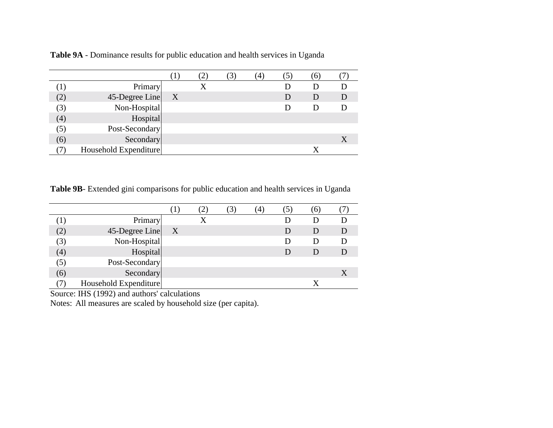|     |                       |   | 3 | $\left(4\right)$ |   | $\omega$ |  |
|-----|-----------------------|---|---|------------------|---|----------|--|
| ( I | Primary               |   |   |                  |   |          |  |
| (2) | 45-Degree Line        | X |   |                  | D | D        |  |
| (3) | Non-Hospital          |   |   |                  |   |          |  |
| (4) | Hospital              |   |   |                  |   |          |  |
| (5) | Post-Secondary        |   |   |                  |   |          |  |
| (6) | Secondary             |   |   |                  |   |          |  |
|     | Household Expenditure |   |   |                  |   |          |  |

**Table 9A** - Dominance results for public education and health services in Uganda

**Table 9B**- Extended gini comparisons for public education and health services in Uganda

|     |                       |                           | 3 | $\left(4\right)$ | [5 ) | $\mathfrak{b}$ |   |
|-----|-----------------------|---------------------------|---|------------------|------|----------------|---|
| П.  | Primary               |                           |   |                  |      |                |   |
| (2) | 45-Degree Line        | $\boldsymbol{\mathrm{X}}$ |   |                  |      | D              | D |
| (3) | Non-Hospital          |                           |   |                  |      |                |   |
| (4) | Hospital              |                           |   |                  |      |                |   |
| (5) | Post-Secondary        |                           |   |                  |      |                |   |
| (6) | Secondary             |                           |   |                  |      |                |   |
|     | Household Expenditure |                           |   |                  |      |                |   |

Source: IHS (1992) and authors' calculations

Notes: All measures are scaled by household size (per capita).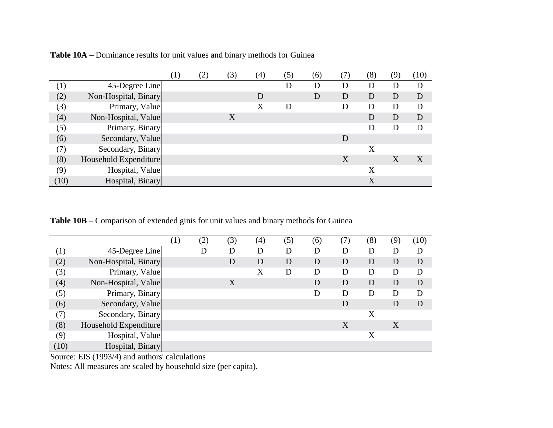|                  |                       | $\left( 1\right)$ | (2) | (3) | (4) | (5) | (6) | (7) | (8) | (9) | (10) |
|------------------|-----------------------|-------------------|-----|-----|-----|-----|-----|-----|-----|-----|------|
| $\left(1\right)$ | 45-Degree Line        |                   |     |     |     | D   | D   | D   | D   | D   | D    |
| (2)              | Non-Hospital, Binary  |                   |     |     | D   |     | D   | D   | D   | D   | D    |
| (3)              | Primary, Value        |                   |     |     | X   | D   |     | D   | D   | D   | D    |
| (4)              | Non-Hospital, Value   |                   |     | X   |     |     |     |     | D   | D   | D    |
| (5)              | Primary, Binary       |                   |     |     |     |     |     |     | D   | D   | D    |
| (6)              | Secondary, Value      |                   |     |     |     |     |     | D   |     |     |      |
| (7)              | Secondary, Binary     |                   |     |     |     |     |     |     | X   |     |      |
| (8)              | Household Expenditure |                   |     |     |     |     |     | X   |     | X   | X    |
| (9)              | Hospital, Value       |                   |     |     |     |     |     |     | X   |     |      |
| (10)             | Hospital, Binary      |                   |     |     |     |     |     |     | X   |     |      |

**Table 10A** – Dominance results for unit values and binary methods for Guinea

**Table 10B** – Comparison of extended ginis for unit values and binary methods for Guinea

|                   |                       | $\left(1\right)$ | (2) | (3) | (4) | (5) | (6) | (7) | (8) | (9) | (10) |
|-------------------|-----------------------|------------------|-----|-----|-----|-----|-----|-----|-----|-----|------|
| $\left( 1\right)$ | 45-Degree Line        |                  | D   | D   | D   | D   | D   | D   | D   | D   | D    |
| (2)               | Non-Hospital, Binary  |                  |     | D   | D   | D   | D   | D   | D   | D   | D    |
| (3)               | Primary, Value        |                  |     |     | Х   | D   | D   | D   | D   | D   | D    |
| (4)               | Non-Hospital, Value   |                  |     | X   |     |     | D   | D   | D   | D   | D    |
| (5)               | Primary, Binary       |                  |     |     |     |     | D   | D   | D   | D   | D    |
| (6)               | Secondary, Value      |                  |     |     |     |     |     | D   |     | D   | D    |
| (7)               | Secondary, Binary     |                  |     |     |     |     |     |     | X   |     |      |
| (8)               | Household Expenditure |                  |     |     |     |     |     | X   |     | X   |      |
| (9)               | Hospital, Value       |                  |     |     |     |     |     |     | X   |     |      |
| (10)              | Hospital, Binary      |                  |     |     |     |     |     |     |     |     |      |

Source: EIS (1993/4) and authors' calculations

Notes: All measures are scaled by household size (per capita).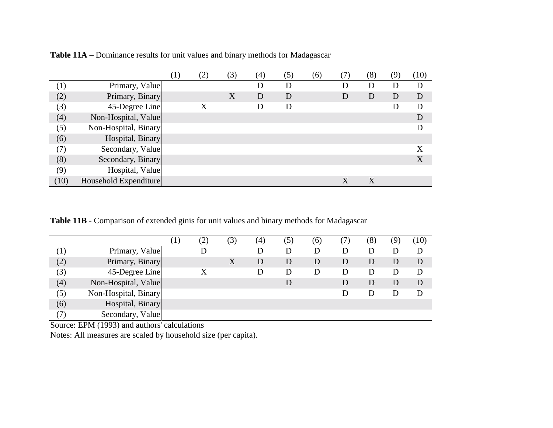|                   |                       | $\left(1\right)$ | (2) | (3) | (4) | (5) | (6) | (7) | (8) | (9) | (10) |
|-------------------|-----------------------|------------------|-----|-----|-----|-----|-----|-----|-----|-----|------|
| $\left( 1\right)$ | Primary, Value        |                  |     |     | D   | D   |     | D   | D   | D   | D    |
| (2)               | Primary, Binary       |                  |     | X   | D   | D   |     | D   | D   | D   | D    |
| (3)               | 45-Degree Line        |                  | X   |     | D   | D   |     |     |     | D   | D    |
| (4)               | Non-Hospital, Value   |                  |     |     |     |     |     |     |     |     | D    |
| (5)               | Non-Hospital, Binary  |                  |     |     |     |     |     |     |     |     | D    |
| (6)               | Hospital, Binary      |                  |     |     |     |     |     |     |     |     |      |
| (7)               | Secondary, Value      |                  |     |     |     |     |     |     |     |     | X    |
| (8)               | Secondary, Binary     |                  |     |     |     |     |     |     |     |     | X    |
| (9)               | Hospital, Value       |                  |     |     |     |     |     |     |     |     |      |
| (10)              | Household Expenditure |                  |     |     |     |     |     | X   | X   |     |      |

**Table 11A** – Dominance results for unit values and binary methods for Madagascar

**Table 11B** - Comparison of extended ginis for unit values and binary methods for Madagascar

|         |                      | $\left(1\right)$ | $\left( 2\right)$ | (3) | (4) | (5) | (6) | $\frac{1}{2}$ | (8) | (9) | (10) |
|---------|----------------------|------------------|-------------------|-----|-----|-----|-----|---------------|-----|-----|------|
| $\perp$ | Primary, Value       |                  | D                 |     |     | D   | D   | D             | D   | D   |      |
| (2)     | Primary, Binary      |                  |                   |     | D   | D   | D   | D             | D   | D   | D    |
| (3)     | 45-Degree Line       |                  | X                 |     |     | D   | D   | D             | D   | D   | D    |
| (4)     | Non-Hospital, Value  |                  |                   |     |     |     |     | D             | D   | D   | D    |
| (5)     | Non-Hospital, Binary |                  |                   |     |     |     |     | D             | D   |     |      |
| (6)     | Hospital, Binary     |                  |                   |     |     |     |     |               |     |     |      |
| (7)     | Secondary, Value     |                  |                   |     |     |     |     |               |     |     |      |

Source: EPM (1993) and authors' calculations

Notes: All measures are scaled by household size (per capita).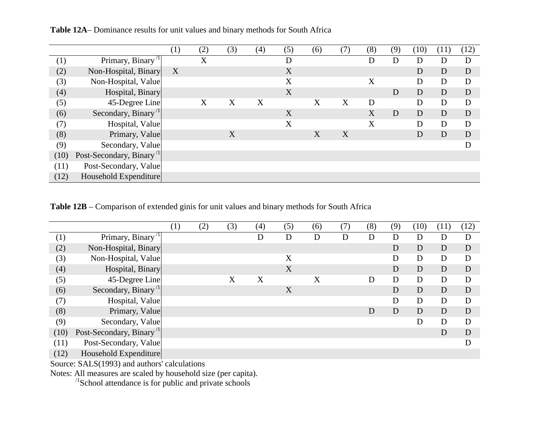|                     |                                                         | (1) | (2) | (3) | $\left( 4\right)$ | (5) | (6) | (7) | (8) | (9) | (10) | (11) | (12) |
|---------------------|---------------------------------------------------------|-----|-----|-----|-------------------|-----|-----|-----|-----|-----|------|------|------|
| $\scriptstyle{(1)}$ | Primary, Binary <sup>'1</sup>                           |     | X   |     |                   | D   |     |     | D   | D   | D    | D    | D    |
| (2)                 | Non-Hospital, Binary                                    | X   |     |     |                   | X   |     |     |     |     | D    | D    | D    |
| (3)                 | Non-Hospital, Value                                     |     |     |     |                   | X   |     |     | X   |     | D    | D    | D    |
| (4)                 | Hospital, Binary                                        |     |     |     |                   | X   |     |     |     | D   | D    | D    | D    |
| (5)                 | 45-Degree Line                                          |     | X   | X   | X                 |     | X   | X   | D   |     | D    | D    | D    |
| (6)                 | Secondary, Binary <sup>/1</sup>                         |     |     |     |                   | X   |     |     | X   | D   | D    | D    | D    |
| (7)                 | Hospital, Value                                         |     |     |     |                   | X   |     |     | X   |     | D    | D    | D    |
| (8)                 | Primary, Value                                          |     |     | X   |                   |     | X   | X   |     |     | D    | D    | D    |
| (9)                 | Secondary, Value                                        |     |     |     |                   |     |     |     |     |     |      |      | D    |
| (10)                | Post-Secondary, Binary <sup><math>\text{1}</math></sup> |     |     |     |                   |     |     |     |     |     |      |      |      |
| (11)                | Post-Secondary, Value                                   |     |     |     |                   |     |     |     |     |     |      |      |      |
| (12)                | Household Expenditure                                   |     |     |     |                   |     |     |     |     |     |      |      |      |

**Table 12A**– Dominance results for unit values and binary methods for South Africa

**Table 12B** – Comparison of extended ginis for unit values and binary methods for South Africa

|      |                                             | $\left( 1\right)$ | (2) | (3) | (4) | (5) | (6) | (7) | (8) | (9) | (10) | (11) | (12) |
|------|---------------------------------------------|-------------------|-----|-----|-----|-----|-----|-----|-----|-----|------|------|------|
| (1)  | Primary, Binary <sup><math>1</math></sup>   |                   |     |     | D   | D   | D   | D   | D   | D   | D    | D    | D    |
| (2)  | Non-Hospital, Binary                        |                   |     |     |     |     |     |     |     | D   | D    | D    | D    |
| (3)  | Non-Hospital, Value                         |                   |     |     |     | X   |     |     |     | D   | D    | D    | D    |
| (4)  | Hospital, Binary                            |                   |     |     |     | X   |     |     |     | D   | D    | D    | D    |
| (5)  | 45-Degree Line                              |                   |     | X   | X   |     | X   |     | D   | D   | D    | D    | D    |
| (6)  | Secondary, Binary <sup><math>1</math></sup> |                   |     |     |     | X   |     |     |     | D   | D    | D    | D    |
| (7)  | Hospital, Value                             |                   |     |     |     |     |     |     |     | D   | D    | D    | D    |
| (8)  | Primary, Value                              |                   |     |     |     |     |     |     | D   | D   | D    | D    | D    |
| (9)  | Secondary, Value                            |                   |     |     |     |     |     |     |     |     | D    | D    | D    |
| (10) | Post-Secondary, Binary <sup>1</sup>         |                   |     |     |     |     |     |     |     |     |      | D    | D    |
| (11) | Post-Secondary, Value                       |                   |     |     |     |     |     |     |     |     |      |      | D    |
| (12) | Household Expenditure                       |                   |     |     |     |     |     |     |     |     |      |      |      |

Source: SALS(1993) and authors' calculations

Notes: All measures are scaled by household size (per capita).

 $\frac{1}{2}$ School attendance is for public and private schools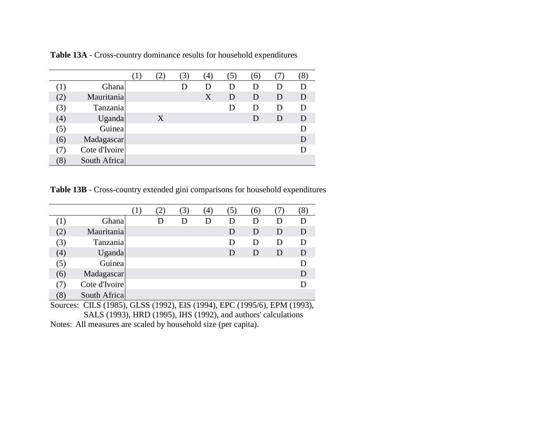|     |               | $\perp$ |   | 3) | (4) | $\mathfrak{Z}$ | (6           |   | $\delta$ . |
|-----|---------------|---------|---|----|-----|----------------|--------------|---|------------|
|     | Ghana         |         |   | D  |     | Ð              | D            |   |            |
| (2) | Mauritania    |         |   |    | X   | D              | D            | D | D          |
| (3) | Tanzania      |         |   |    |     |                | D            | D | D          |
| (4) | <b>Uganda</b> |         | X |    |     |                | $\mathsf{D}$ | D | D          |
| (5) | Guinea        |         |   |    |     |                |              |   |            |
| (6) | Madagascar    |         |   |    |     |                |              |   |            |
| 7)  | Cote d'Ivoire |         |   |    |     |                |              |   |            |
| (8) | South Africa  |         |   |    |     |                |              |   |            |

**Table 13A** - Cross-country dominance results for household expenditures

**Table 13B** - Cross-country extended gini comparisons for household expenditures

|                   |               | $\perp$ |   | 3) | $\left(4\right)$ | $\mathfrak{S}$ | (6) |   | ŏ |
|-------------------|---------------|---------|---|----|------------------|----------------|-----|---|---|
|                   | Ghana         |         | Ð | D  | Ð                | $\mathbf{D}$   | D   |   | Ð |
| (2)               | Mauritania    |         |   |    |                  | D              | D   | D | D |
| 3)                | Tanzania      |         |   |    |                  | Ð              | D   | Ð | D |
| $\left( 4\right)$ | Uganda        |         |   |    |                  | D              | D   | D | D |
| (5)               | Guinea        |         |   |    |                  |                |     |   |   |
| (6)               | Madagascar    |         |   |    |                  |                |     |   | D |
|                   | Cote d'Ivoire |         |   |    |                  |                |     |   |   |
| (8)               | South Africa  |         |   |    |                  |                |     |   |   |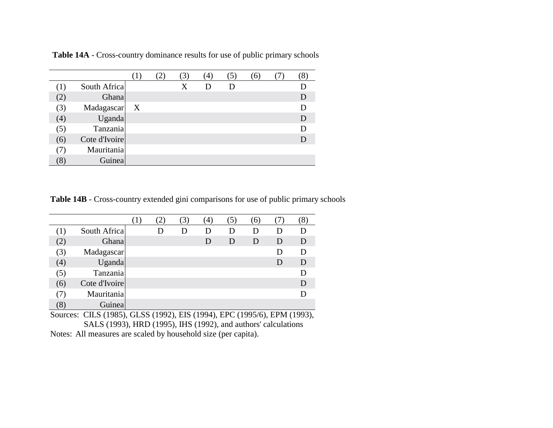|     |               |                  | 3) | $\left( 4\right)$ | 5 | 6) | 8 |
|-----|---------------|------------------|----|-------------------|---|----|---|
|     | South Africa  |                  | X  | Ð                 |   |    |   |
| (2) | Ghana         |                  |    |                   |   |    | D |
| (3) | Madagascar    | $\boldsymbol{X}$ |    |                   |   |    |   |
| (4) | Uganda        |                  |    |                   |   |    | D |
| (5) | Tanzania      |                  |    |                   |   |    |   |
| (6) | Cote d'Ivoire |                  |    |                   |   |    | D |
|     | Mauritania    |                  |    |                   |   |    |   |
| (8) | Guinea        |                  |    |                   |   |    |   |

**Table 14A** - Cross-country dominance results for use of public primary schools

**Table 14B** - Cross-country extended gini comparisons for use of public primary schools

|                   |               |   | 3 | (4) |   | (6) |   |   |
|-------------------|---------------|---|---|-----|---|-----|---|---|
|                   | South Africa  | D | D | D   | D | D   | Ð |   |
| (2)               | Ghana         |   |   | D   | D | D   | D | D |
| 3)                | Madagascar    |   |   |     |   |     | Ð | D |
| $\left( 4\right)$ | <b>Uganda</b> |   |   |     |   |     | D | D |
| (5)               | Tanzania      |   |   |     |   |     |   |   |
| (6)               | Cote d'Ivoire |   |   |     |   |     |   | D |
|                   | Mauritania    |   |   |     |   |     |   |   |
| $\left[8\right]$  | Guinea        |   |   |     |   |     |   |   |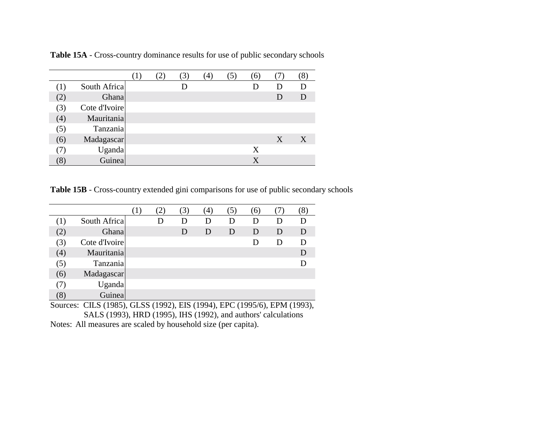|     |               | $\perp$ | 3) | (4) | $\mathfrak{Z}$ | (6)     |   | Ō. |
|-----|---------------|---------|----|-----|----------------|---------|---|----|
|     | South Africa  |         |    |     |                |         | Ð |    |
| (2) | Ghana         |         |    |     |                |         | D | D  |
| (3) | Cote d'Ivoire |         |    |     |                |         |   |    |
| (4) | Mauritania    |         |    |     |                |         |   |    |
| (5) | Tanzania      |         |    |     |                |         |   |    |
| (6) | Madagascar    |         |    |     |                |         | X | X  |
| 7)  | Uganda        |         |    |     |                | X       |   |    |
| (8) | Guinea        |         |    |     |                | $\rm X$ |   |    |

**Table 15A** - Cross-country dominance results for use of public secondary schools

**Table 15B** - Cross-country extended gini comparisons for use of public secondary schools

|                   |               |   | (3) | $\left( 4\right)$ | $\mathfrak{Z}$ | (6) |              | 8 |
|-------------------|---------------|---|-----|-------------------|----------------|-----|--------------|---|
| (1)               | South Africa  | Ð | D   |                   | D              | D   |              |   |
| (2)               | Ghana         |   | D   | D                 | D              | D   | $\mathsf{D}$ | D |
| 3)                | Cote d'Ivoire |   |     |                   |                | Ð   | Ð            | D |
| $\left( 4\right)$ | Mauritania    |   |     |                   |                |     |              |   |
| (5)               | Tanzania      |   |     |                   |                |     |              |   |
| (6)               | Madagascar    |   |     |                   |                |     |              |   |
| (7)               | Uganda        |   |     |                   |                |     |              |   |
| $\left(8\right)$  | Guinea        |   |     |                   |                |     |              |   |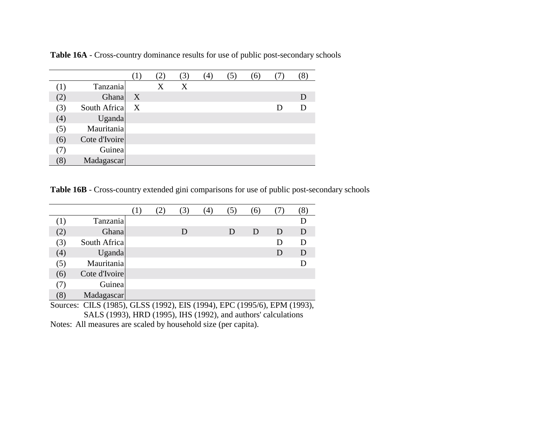|     |               |   |   | (3) | (4) | $\mathfrak{Z}$ ) | (6) |   | ð |
|-----|---------------|---|---|-----|-----|------------------|-----|---|---|
|     | Tanzania      |   | Χ | X   |     |                  |     |   |   |
| (2) | Ghana         | X |   |     |     |                  |     |   |   |
| (3) | South Africa  | X |   |     |     |                  |     | Ð |   |
| (4) | <b>Uganda</b> |   |   |     |     |                  |     |   |   |
| (5) | Mauritania    |   |   |     |     |                  |     |   |   |
| (6) | Cote d'Ivoire |   |   |     |     |                  |     |   |   |
| (7) | Guinea        |   |   |     |     |                  |     |   |   |
| (8) | Madagascar    |   |   |     |     |                  |     |   |   |

**Table 16A** - Cross-country dominance results for use of public post-secondary schools

**Table 16B** - Cross-country extended gini comparisons for use of public post-secondary schools

|     |               | $\perp$ . | 3) | $\left(4\right)$ |   | (6) |   |   |
|-----|---------------|-----------|----|------------------|---|-----|---|---|
|     | Tanzania      |           |    |                  |   |     |   |   |
| (2) | Ghana         |           | D  |                  | D | D   | D | D |
| (3) | South Africa  |           |    |                  |   |     |   | D |
| (4) | Uganda        |           |    |                  |   |     | D | D |
| (5) | Mauritania    |           |    |                  |   |     |   |   |
| (6) | Cote d'Ivoire |           |    |                  |   |     |   |   |
| 7)  | Guinea        |           |    |                  |   |     |   |   |
| (8) | Madagascar    |           |    |                  |   |     |   |   |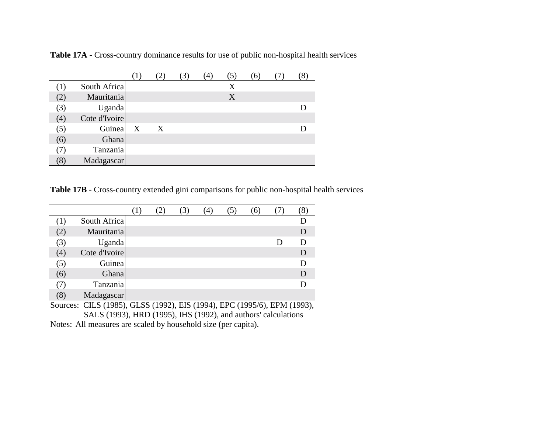|         |               | $\perp$      |   | 3) | (4) | C. | (6) |  |
|---------|---------------|--------------|---|----|-----|----|-----|--|
| $\perp$ | South Africa  |              |   |    |     | X  |     |  |
| (2)     | Mauritania    |              |   |    |     | X  |     |  |
| (3)     | Uganda        |              |   |    |     |    |     |  |
| (4)     | Cote d'Ivoire |              |   |    |     |    |     |  |
| (5)     | Guinea        | $\mathbf{X}$ | X |    |     |    |     |  |
| (6)     | Ghana         |              |   |    |     |    |     |  |
| (7)     | Tanzania      |              |   |    |     |    |     |  |
| (8)     | Madagascar    |              |   |    |     |    |     |  |

**Table 17A** - Cross-country dominance results for use of public non-hospital health services

**Table 17B** - Cross-country extended gini comparisons for public non-hospital health services

|                 |               |  | (3) | $\left(4\right)$ | $\mathfrak{I})$ | (6) |   |   |
|-----------------|---------------|--|-----|------------------|-----------------|-----|---|---|
|                 | South Africa  |  |     |                  |                 |     |   |   |
| (2)             | Mauritania    |  |     |                  |                 |     |   | D |
| (3)             | Uganda        |  |     |                  |                 |     | Ð | D |
| (4)             | Cote d'Ivoire |  |     |                  |                 |     |   |   |
| (5)             | Guinea        |  |     |                  |                 |     |   |   |
| (6)             | Ghana         |  |     |                  |                 |     |   |   |
|                 | Tanzania      |  |     |                  |                 |     |   |   |
| $\mathcal{S}$ ) | Madagascar    |  |     |                  |                 |     |   |   |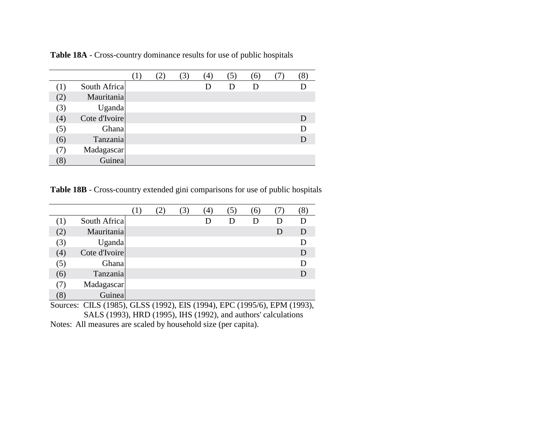|                              |               |  | $\mathfrak{Z}$ | $\left(4\right)$ |   | (6) |  |
|------------------------------|---------------|--|----------------|------------------|---|-----|--|
| $\left( \frac{1}{2} \right)$ | South Africa  |  |                |                  | D | D   |  |
| (2)                          | Mauritania    |  |                |                  |   |     |  |
| (3)                          | Uganda        |  |                |                  |   |     |  |
| (4)                          | Cote d'Ivoire |  |                |                  |   |     |  |
| (5)                          | Ghana         |  |                |                  |   |     |  |
| (6)                          | Tanzania      |  |                |                  |   |     |  |
| (7)                          | Madagascar    |  |                |                  |   |     |  |
|                              | Guinea        |  |                |                  |   |     |  |

**Table 18A** - Cross-country dominance results for use of public hospitals

**Table 18B** - Cross-country extended gini comparisons for use of public hospitals

|     |               |  | 3) | $\left( 4\right)$ | ´5) | (6) |   |   |
|-----|---------------|--|----|-------------------|-----|-----|---|---|
|     | South Africa  |  |    |                   | Ð   |     |   |   |
| (2) | Mauritania    |  |    |                   |     |     | D | D |
| (3) | Uganda        |  |    |                   |     |     |   |   |
| (4) | Cote d'Ivoire |  |    |                   |     |     |   |   |
| (5) | Ghana         |  |    |                   |     |     |   |   |
| (6) | Tanzania      |  |    |                   |     |     |   |   |
|     | Madagascar    |  |    |                   |     |     |   |   |
|     | Guinea        |  |    |                   |     |     |   |   |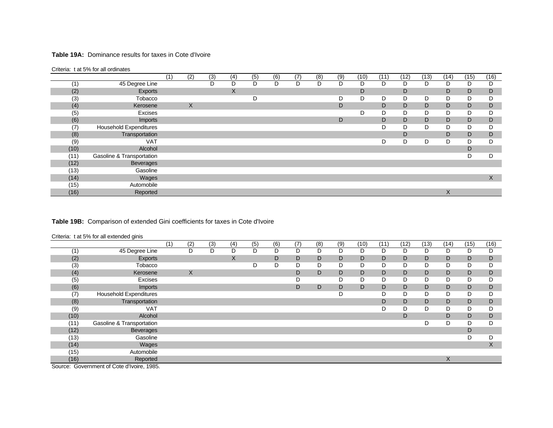#### **Table 19A:** Dominance results for taxes in Cote d'Ivoire

#### Criteria: t at 5% for all ordinates

|      |                               | (1) | (2) | (3) | (4) | (5) | (6) | (7) | (8) | (9) | (10) | (11) | (12) | (13) | (14) | (15) | (16) |
|------|-------------------------------|-----|-----|-----|-----|-----|-----|-----|-----|-----|------|------|------|------|------|------|------|
| (1)  | 45 Degree Line                |     |     | D   | D   | D   | D   | D   | D   | D   | D    | D    | D    | D    | D    | D    | D    |
| (2)  | Exports                       |     |     |     | X   |     |     |     |     |     | D    |      | D    |      | D    | D    | D    |
| (3)  | Tobacco                       |     |     |     |     | D   |     |     |     | D   | D    | D    | D    | D    | D    | D    | D    |
| (4)  | Kerosene                      |     | X   |     |     |     |     |     |     | D   |      | D    | D    | D    | D    | D    | D    |
| (5)  | Excises                       |     |     |     |     |     |     |     |     |     | D    | D    | D    | D    | D    | D    |      |
| (6)  | Imports                       |     |     |     |     |     |     |     |     | D   |      | D    | D    | D    | D    | D    | D    |
| (7)  | <b>Household Expenditures</b> |     |     |     |     |     |     |     |     |     |      | D    | D    | D    | D    | D    |      |
| (8)  | Transportation                |     |     |     |     |     |     |     |     |     |      |      | D    |      | D    | D    | D    |
| (9)  | <b>VAT</b>                    |     |     |     |     |     |     |     |     |     |      | D    | D    | D    | D    | D    | D    |
| (10) | Alcohol                       |     |     |     |     |     |     |     |     |     |      |      |      |      |      | D    |      |
| (11) | Gasoline & Transportation     |     |     |     |     |     |     |     |     |     |      |      |      |      |      | D    | D    |
| (12) | <b>Beverages</b>              |     |     |     |     |     |     |     |     |     |      |      |      |      |      |      |      |
| (13) | Gasoline                      |     |     |     |     |     |     |     |     |     |      |      |      |      |      |      |      |
| (14) | Wages                         |     |     |     |     |     |     |     |     |     |      |      |      |      |      |      | X    |
| (15) | Automobile                    |     |     |     |     |     |     |     |     |     |      |      |      |      |      |      |      |
| (16) | Reported                      |     |     |     |     |     |     |     |     |     |      |      |      |      | X.   |      |      |

## **Table 19B:** Comparison of extended Gini coefficients for taxes in Cote d'Ivoire

|  |  |  | Criteria: t at 5% for all extended ginis |  |
|--|--|--|------------------------------------------|--|
|--|--|--|------------------------------------------|--|

|      | ັ                             | (1) | (2) | (3) | (4)          | (5) | (6) | (7) | (8) | (9) | (10) | (11) | (12) | (13) | (14) | (15) | (16) |
|------|-------------------------------|-----|-----|-----|--------------|-----|-----|-----|-----|-----|------|------|------|------|------|------|------|
| (1)  | 45 Degree Line                |     | D   | D   | D            | D   | D   | D   | D   | D   | D    | D    | D    | D    | D    | D    | D    |
| (2)  | Exports                       |     |     |     | $\mathsf{X}$ |     | D   | D   | D   | D   | D    | D    | D    | D    | D    | D    | D    |
| (3)  | Tobacco                       |     |     |     |              | D   | D   | D   | D   | D   | D    | D    | D    | D    | D    | D    | D    |
| (4)  | Kerosene                      |     | X   |     |              |     |     | D   | D   | D   | D    | D    | D    | D    | D    | D    | D    |
| (5)  | Excises                       |     |     |     |              |     |     | D   |     | D   | D    | D    | D    | D    | D    | D    | D    |
| (6)  | <b>Imports</b>                |     |     |     |              |     |     | D   | D   | D   | D    | D    | D    | D    | D    | D    | D    |
| (7)  | <b>Household Expenditures</b> |     |     |     |              |     |     |     |     | D   |      | D    | D    | D    | D    | D    | D    |
| (8)  | Transportation                |     |     |     |              |     |     |     |     |     |      | D    | D    | D    | D    | D    | D    |
| (9)  | <b>VAT</b>                    |     |     |     |              |     |     |     |     |     |      |      | D    | D    | D    | D    | D    |
| (10) | Alcohol                       |     |     |     |              |     |     |     |     |     |      |      | D    |      | D    | D    | D    |
| (11) | Gasoline & Transportation     |     |     |     |              |     |     |     |     |     |      |      |      | D    | D    | D    | D    |
| (12) | <b>Beverages</b>              |     |     |     |              |     |     |     |     |     |      |      |      |      |      | D    |      |
| (13) | Gasoline                      |     |     |     |              |     |     |     |     |     |      |      |      |      |      | D    | D    |
| (14) | Wages                         |     |     |     |              |     |     |     |     |     |      |      |      |      |      |      | X    |
| (15) | Automobile                    |     |     |     |              |     |     |     |     |     |      |      |      |      |      |      |      |
| (16) | Reported                      |     |     |     |              |     |     |     |     |     |      |      |      |      | X    |      |      |

Source: Government of Cote d'Ivoire, 1985.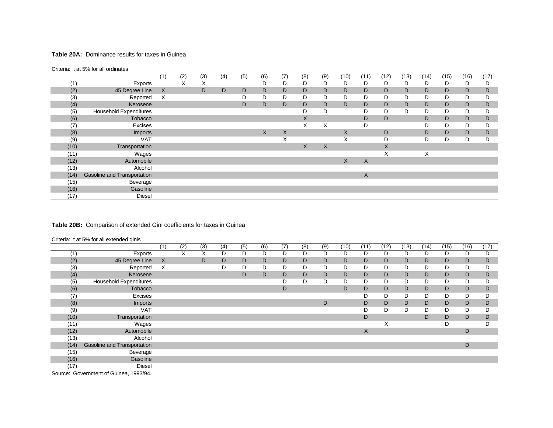#### **Table 20A:** Dominance results for taxes in Guinea

#### Criteria: t at 5% for all ordinates

|      |                               | (1) | (2) | (3) | (4) | (5) | (6) | (7)               | (8) | (9) | (10) | (11) | (12) | (13) | (14) | (15) | (16) | (17)        |
|------|-------------------------------|-----|-----|-----|-----|-----|-----|-------------------|-----|-----|------|------|------|------|------|------|------|-------------|
| (1)  | Exports                       |     | X   | X   |     |     | D   | D                 | D   | D   | D    | D    | D    | D    | D    | D    | D    | D           |
| (2)  | 45 Degree Line                | X   |     | D   | D   | D   | D   | D                 | D   | D   | D    | D    | D    | D    | D    | D    | D    | D           |
| (3)  | Reported                      | Χ   |     |     |     | D   | D   | D                 | D   | D   | D    | D    | D    | D    | D    | D    | D    | D           |
| (4)  | Kerosene                      |     |     |     |     | D   | D   | D                 | D   | D   | D    | D    | D    | D    | D    | D    | D    | D           |
| (5)  | <b>Household Expenditures</b> |     |     |     |     |     |     |                   | D   | D   |      | D    | D    | D    | D    | D    | D    | D           |
| (6)  | Tobacco                       |     |     |     |     |     |     |                   | X   |     |      | D    | D    |      | D    | D    | D    | $\mathsf D$ |
| (7)  | Excises                       |     |     |     |     |     |     |                   | X   | X   |      | D    |      |      | D    | D    | D    | D           |
| (8)  | Imports                       |     |     |     |     |     | X   | X                 |     |     | X    |      | D    |      | D    | D    | D    | D           |
| (9)  | <b>VAT</b>                    |     |     |     |     |     |     | $\checkmark$<br>⋏ |     |     | X    |      | D    |      | D    | D    | D    | D           |
| (10) | Transportation                |     |     |     |     |     |     |                   | X   | X   |      |      | X    |      |      |      |      |             |
| (11) | Wages                         |     |     |     |     |     |     |                   |     |     |      |      | X    |      | X    |      |      |             |
| (12) | Automobile                    |     |     |     |     |     |     |                   |     |     | X    | X    |      |      |      |      |      |             |
| (13) | Alcohol                       |     |     |     |     |     |     |                   |     |     |      |      |      |      |      |      |      |             |
| (14) | Gasoline and Transportation   |     |     |     |     |     |     |                   |     |     |      | X    |      |      |      |      |      |             |
| (15) | Beverage                      |     |     |     |     |     |     |                   |     |     |      |      |      |      |      |      |      |             |
| (16) | Gasoline                      |     |     |     |     |     |     |                   |     |     |      |      |      |      |      |      |      |             |
| (17) | <b>Diesel</b>                 |     |     |     |     |     |     |                   |     |     |      |      |      |      |      |      |      |             |

### **Table 20B:** Comparison of extended Gini coefficients for taxes in Guinea

Criteria: t at 5% for all extended ginis

|        |                                                | (1)     | (2) | (3) | (4) | (5) | (6) | (7) | (8) | (9) | (10) | (11) | (12) | (13) | (14) | (15) | (16) | (17) |
|--------|------------------------------------------------|---------|-----|-----|-----|-----|-----|-----|-----|-----|------|------|------|------|------|------|------|------|
| (1)    | Exports                                        |         | X   | X   | D   | D   | D   | D   | D   | D   | D    | D    | D    | D    | D    | D    | D    | D    |
| (2)    | 45 Degree Line                                 | $\sf X$ |     | D   | D   | D   | D   | D   | D   | D   | D    | D    | D    | D    | D    | D    | D    | D    |
| (3)    | Reported                                       | X       |     |     | D   | D   | D   | D   | D   | D   | D    | D    | D    | D    | D    | D    | D    | D    |
| (4)    | Kerosene                                       |         |     |     |     | D   | D   | D   | D   | D   | D    | D    | D    | D    | D    | D    | D    | D    |
| (5)    | <b>Household Expenditures</b>                  |         |     |     |     |     |     |     | D   | D   | D    | D    | D    | D    | D    | D    | D    | D    |
| (6)    | Tobacco                                        |         |     |     |     |     |     | D   |     |     | D    | D    | D    | D    | D    | D    | D    | D    |
| (7)    | Excises                                        |         |     |     |     |     |     |     |     |     |      | D    | D    | D    | D    | D    | D    | D    |
| (8)    | Imports                                        |         |     |     |     |     |     |     |     | D   |      | D    | D    | D    | D    | D    | D    | D    |
| (9)    | <b>VAT</b>                                     |         |     |     |     |     |     |     |     |     |      | D    | D    | D    | D    | D    | D    | D    |
| (10)   | Transportation                                 |         |     |     |     |     |     |     |     |     |      | D    |      |      | D    | D    | D    | D    |
| (11)   | Wages                                          |         |     |     |     |     |     |     |     |     |      |      | X    |      |      | D    |      | D    |
| (12)   | Automobile                                     |         |     |     |     |     |     |     |     |     |      | X    |      |      |      |      | D    |      |
| (13)   | Alcohol                                        |         |     |     |     |     |     |     |     |     |      |      |      |      |      |      |      |      |
| (14)   | <b>Gasoline and Transportation</b>             |         |     |     |     |     |     |     |     |     |      |      |      |      |      |      | D    |      |
| (15)   | Beverage                                       |         |     |     |     |     |     |     |     |     |      |      |      |      |      |      |      |      |
| (16)   | Gasoline                                       |         |     |     |     |     |     |     |     |     |      |      |      |      |      |      |      |      |
| (17)   | Diesel                                         |         |     |     |     |     |     |     |     |     |      |      |      |      |      |      |      |      |
| $\sim$ | $\sim$ $\sim$ $\sim$ $\sim$<br>$1 - 2 - 1 - 1$ |         |     |     |     |     |     |     |     |     |      |      |      |      |      |      |      |      |

Source: Government of Guinea, 1993/94.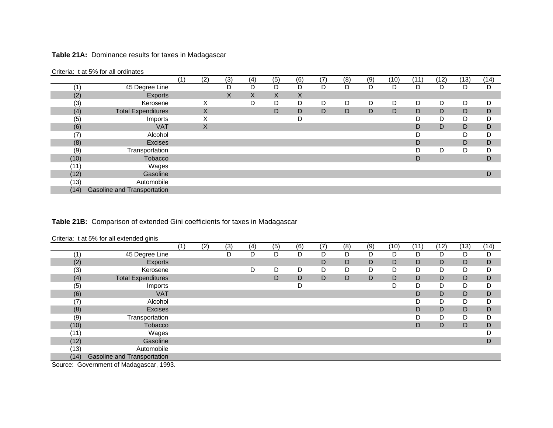## **Table 21A:** Dominance results for taxes in Madagascar

|      | Official Lat 970 for all oralitates |     |     |     |     |     |     |     |     |     |      |      |      |      |      |
|------|-------------------------------------|-----|-----|-----|-----|-----|-----|-----|-----|-----|------|------|------|------|------|
|      |                                     | (1) | (2) | (3) | (4) | (5) | (6) | (7) | (8) | (9) | (10) | (11) | (12) | (13) | (14) |
| (1   | 45 Degree Line                      |     |     | D   | D   | D   | D   | D   | D   | D   | D    | D    |      | D    | D    |
| (2)  | Exports                             |     |     | X   | X   | Χ   | X   |     |     |     |      |      |      |      |      |
| (3)  | Kerosene                            |     | х   |     | D   | D   | D   | D   | D   | D   | D    | D    | D    | D    | D    |
| (4)  | <b>Total Expenditures</b>           |     | X   |     |     | D   | D   | D   | D   | D   | D    | D    | D    | D    | D    |
| (5)  | Imports                             |     | X   |     |     |     | D   |     |     |     |      | D    | D    | D    | D    |
| (6)  | <b>VAT</b>                          |     | X   |     |     |     |     |     |     |     |      | D    | D    | D    | D    |
| (7)  | Alcohol                             |     |     |     |     |     |     |     |     |     |      |      |      | D    | D    |
| (8)  | <b>Excises</b>                      |     |     |     |     |     |     |     |     |     |      | D    |      | D    | D    |
| (9)  | Transportation                      |     |     |     |     |     |     |     |     |     |      |      | D    | D    | D    |
| (10) | Tobacco                             |     |     |     |     |     |     |     |     |     |      | D    |      |      | D    |
| (11) | Wages                               |     |     |     |     |     |     |     |     |     |      |      |      |      |      |
| (12) | Gasoline                            |     |     |     |     |     |     |     |     |     |      |      |      |      | D    |
| (13) | Automobile                          |     |     |     |     |     |     |     |     |     |      |      |      |      |      |
| (14) | Gasoline and Transportation         |     |     |     |     |     |     |     |     |     |      |      |      |      |      |

Criteria: t at 5% for all ordinates

## **Table 21B:** Comparison of extended Gini coefficients for taxes in Madagascar

Criteria: t at 5% for all extended ginis

| D<br>(1)<br>45 Degree Line<br>D<br>D<br>D<br>D<br>D<br>D<br>D<br>D<br>D<br>D  | D<br>D |
|-------------------------------------------------------------------------------|--------|
|                                                                               |        |
| (2)<br>D<br>Exports<br>D<br>D<br>D<br>D<br>D<br>D                             |        |
| (3)<br>D<br>D<br>D<br>D<br>D<br>D<br>D<br>D<br>D<br>D<br>Kerosene             | D      |
| (4)<br>D<br><b>Total Expenditures</b><br>D<br>D<br>D<br>D<br>D<br>D<br>D<br>D | D      |
| (5)<br>D<br>D<br>D<br>D<br>Imports                                            | D      |
| (6)<br><b>VAT</b><br>D<br>D<br>D                                              | D      |
| (7)<br>Alcohol<br>D<br>D                                                      | D      |
| (8)<br>D<br>Excises<br>D<br>D                                                 | D      |
| (9)<br>Transportation<br>D<br>D                                               | D      |
| Tobacco<br>(10)<br>D<br>D<br>D                                                | D      |
| (11)<br>Wages                                                                 | D      |
| (12)<br>Gasoline                                                              | D      |
| (13)<br>Automobile                                                            |        |
| (14)<br>Gasoline and Transportation                                           |        |

Source: Government of Madagascar, 1993.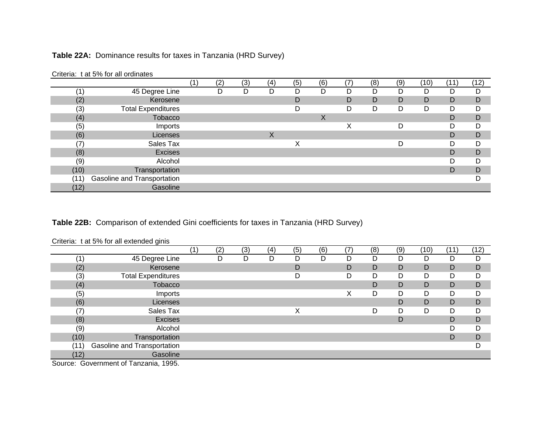## **Table 22A:** Dominance results for taxes in Tanzania (HRD Survey)

|                   | Unional Tall of the all brandloo |     |     |     |     |     |     |     |     |     |      |      |      |
|-------------------|----------------------------------|-----|-----|-----|-----|-----|-----|-----|-----|-----|------|------|------|
|                   |                                  | ั1) | (2) | (3) | (4) | (5) | (6) | (7) | (8) | (9) | (10) | (11) | (12) |
|                   | 45 Degree Line                   |     | D   | D   | D   | D   | D   | D   | D   | D   | D    | D    | D    |
| (2)               | Kerosene                         |     |     |     |     | D   |     | D   | D   | D   | D    | D    | D    |
| (3)               | <b>Total Expenditures</b>        |     |     |     |     | D   |     | D   | D   | D   | D    | D    | D    |
| (4)               | Tobacco                          |     |     |     |     |     | X   |     |     |     |      | D    | D    |
| (5)               | Imports                          |     |     |     |     |     |     | Χ   |     | D   |      | D    | D    |
| (6)               | Licenses                         |     |     |     | X   |     |     |     |     |     |      | D    | D    |
| $\left( 7\right)$ | Sales Tax                        |     |     |     |     | X   |     |     |     | D   |      | D    | D    |
| (8)               | <b>Excises</b>                   |     |     |     |     |     |     |     |     |     |      | D    | D    |
| (9)               | Alcohol                          |     |     |     |     |     |     |     |     |     |      | D    | D    |
| (10)              | Transportation                   |     |     |     |     |     |     |     |     |     |      | D    | D    |
| (11)              | Gasoline and Transportation      |     |     |     |     |     |     |     |     |     |      |      |      |
| (12)              | Gasoline                         |     |     |     |     |     |     |     |     |     |      |      |      |

Criteria: t at 5% for all ordinates

**Table 22B:** Comparison of extended Gini coefficients for taxes in Tanzania (HRD Survey)

Criteria: t at 5% for all extended ginis

|                                                      |                                        | $\overline{2}$ | (3) | (4) | (5) | (6) | (7) | (8) | (9) | (10) | (11) | (12) |
|------------------------------------------------------|----------------------------------------|----------------|-----|-----|-----|-----|-----|-----|-----|------|------|------|
| $^{\prime}$ 1 $\,$                                   | 45 Degree Line                         | D              | D   | D   | D   | D   | D   |     | D   | D    | D    | D    |
| (2)                                                  | Kerosene                               |                |     |     | D   |     | D   | D   | D   | D    | D    | D    |
| (3)                                                  | <b>Total Expenditures</b>              |                |     |     | D   |     | D   |     | D   | D    | D    | D    |
| (4)                                                  | Tobacco                                |                |     |     |     |     |     |     | D   | D    | D    | D    |
| (5)                                                  | Imports                                |                |     |     |     |     | Χ   | D   | D   | D    | D    | D    |
| (6)                                                  | Licenses                               |                |     |     |     |     |     |     | D   | D    | D    | D    |
| (7)                                                  | Sales Tax                              |                |     |     | Χ   |     |     | D   | D   | D    | D    | D    |
| (8)                                                  | <b>Excises</b>                         |                |     |     |     |     |     |     | D   |      | D    | D    |
| (9)                                                  | Alcohol                                |                |     |     |     |     |     |     |     |      | D    | D    |
| (10)                                                 | Transportation                         |                |     |     |     |     |     |     |     |      | D    | D    |
| (11)                                                 | Gasoline and Transportation            |                |     |     |     |     |     |     |     |      |      | D    |
| (12)                                                 | Gasoline                               |                |     |     |     |     |     |     |     |      |      |      |
| $\overline{\phantom{0}}$<br>$\overline{\phantom{0}}$ | $\sim$ $-$<br>$\overline{\phantom{a}}$ |                |     |     |     |     |     |     |     |      |      |      |

Source: Government of Tanzania, 1995.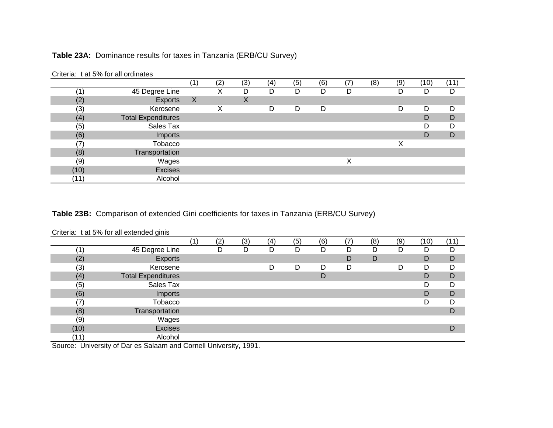## **Table 23A:** Dominance results for taxes in Tanzania (ERB/CU Survey)

|      | ontona. Cat o lo for all oralitatoo |              |     |     |     |     |     |     |     |     |      |      |
|------|-------------------------------------|--------------|-----|-----|-----|-----|-----|-----|-----|-----|------|------|
|      |                                     |              | (2) | (3) | (4) | (5) | (6) | (7) | (8) | (9) | (10) | (11) |
|      | 45 Degree Line                      |              |     | D   | D   | D   | D   | D   |     | D   | D    | D    |
| (2)  | Exports                             | $\mathsf{X}$ |     | X   |     |     |     |     |     |     |      |      |
| (3)  | Kerosene                            |              | Χ   |     | D   | D   | D   |     |     | D   | D    | D    |
| (4)  | <b>Total Expenditures</b>           |              |     |     |     |     |     |     |     |     | D    | D    |
| (5)  | Sales Tax                           |              |     |     |     |     |     |     |     |     | D    | D    |
| (6)  | Imports                             |              |     |     |     |     |     |     |     |     | D    | D    |
| (7)  | Tobacco                             |              |     |     |     |     |     |     |     | X   |      |      |
| (8)  | Transportation                      |              |     |     |     |     |     |     |     |     |      |      |
| (9)  | Wages                               |              |     |     |     |     |     | Χ   |     |     |      |      |
| (10) | Excises                             |              |     |     |     |     |     |     |     |     |      |      |
| (11) | Alcohol                             |              |     |     |     |     |     |     |     |     |      |      |

Criteria: t at 5% for all ordinates

## **Table 23B:** Comparison of extended Gini coefficients for taxes in Tanzania (ERB/CU Survey)

### Criteria: t at 5% for all extended ginis

|      |                           | (2) | (3) | (4) | (5) | (6) | (7) | (8) | (9) | (10) | (11) |
|------|---------------------------|-----|-----|-----|-----|-----|-----|-----|-----|------|------|
| 1    | 45 Degree Line            | D   | D   | D   | D   | D   | D   | D   | D   | D    | D    |
| (2)  | Exports                   |     |     |     |     |     | D   | D   |     | D    | D    |
| (3)  | Kerosene                  |     |     | D   | D   | D   | D   |     | D   | D    | D    |
| (4)  | <b>Total Expenditures</b> |     |     |     |     | D   |     |     |     | D    | D    |
| (5)  | Sales Tax                 |     |     |     |     |     |     |     |     | D    | D    |
| (6)  | Imports                   |     |     |     |     |     |     |     |     | D    | D    |
| (7)  | Tobacco                   |     |     |     |     |     |     |     |     | D    | D    |
| (8)  | Transportation            |     |     |     |     |     |     |     |     |      | D    |
| (9)  | Wages                     |     |     |     |     |     |     |     |     |      |      |
| (10) | <b>Excises</b>            |     |     |     |     |     |     |     |     |      | D    |
| (11) | Alcohol                   |     |     |     |     |     |     |     |     |      |      |

Source: University of Dar es Salaam and Cornell University, 1991.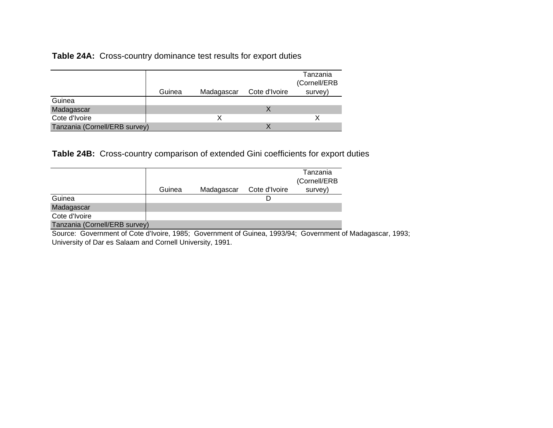**Table 24A:** Cross-country dominance test results for export duties

|                               |        |            |               | Tanzania<br>(Cornell/ERB |
|-------------------------------|--------|------------|---------------|--------------------------|
|                               | Guinea | Madagascar | Cote d'Ivoire | survey)                  |
| Guinea                        |        |            |               |                          |
| Madagascar                    |        |            |               |                          |
| Cote d'Ivoire                 |        |            |               |                          |
| Tanzania (Cornell/ERB survey) |        |            |               |                          |

**Table 24B:** Cross-country comparison of extended Gini coefficients for export duties

|                               |        |            |               | Tanzania<br>(Cornell/ERB |
|-------------------------------|--------|------------|---------------|--------------------------|
|                               | Guinea | Madagascar | Cote d'Ivoire | survey)                  |
| Guinea                        |        |            |               |                          |
| Madagascar                    |        |            |               |                          |
| Cote d'Ivoire                 |        |            |               |                          |
| Tanzania (Cornell/ERB survey) |        |            |               |                          |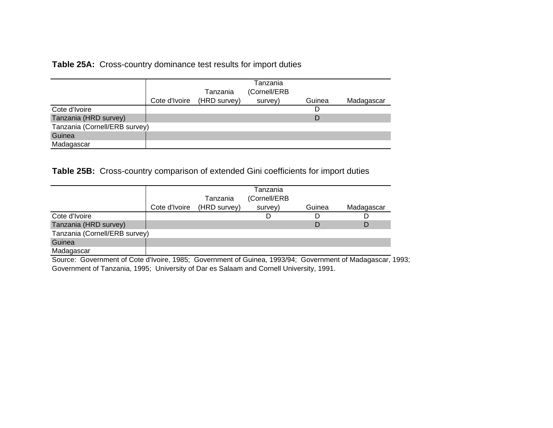**Table 25A:** Cross-country dominance test results for import duties

|                               | Cote d'Ivoire | Tanzania<br>(HRD survey) | Tanzania<br>(Cornell/ERB<br>survey) | Guinea | Madagascar |
|-------------------------------|---------------|--------------------------|-------------------------------------|--------|------------|
| Cote d'Ivoire                 |               |                          |                                     | D      |            |
| Tanzania (HRD survey)         |               |                          |                                     | D      |            |
| Tanzania (Cornell/ERB survey) |               |                          |                                     |        |            |
| Guinea                        |               |                          |                                     |        |            |
| Madagascar                    |               |                          |                                     |        |            |

**Table 25B:** Cross-country comparison of extended Gini coefficients for import duties

|                               | Cote d'Ivoire | Tanzania<br>(HRD survey) | Tanzania<br>(Cornell/ERB<br>survey) | Guinea | Madagascar |
|-------------------------------|---------------|--------------------------|-------------------------------------|--------|------------|
| Cote d'Ivoire                 |               |                          |                                     |        |            |
| Tanzania (HRD survey)         |               |                          |                                     | D      |            |
| Tanzania (Cornell/ERB survey) |               |                          |                                     |        |            |
| Guinea                        |               |                          |                                     |        |            |
| Madagascar                    |               |                          |                                     |        |            |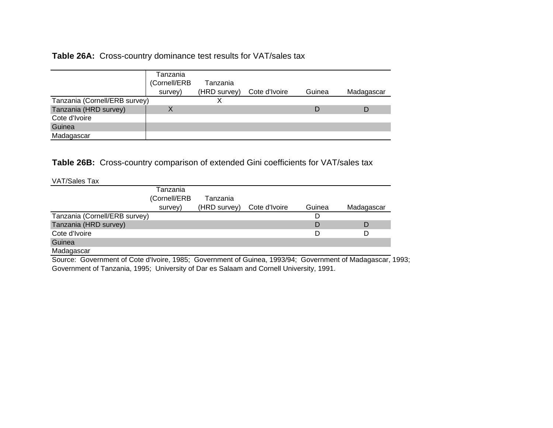# **Table 26A:** Cross-country dominance test results for VAT/sales tax

|                               | Tanzania     |              |               |        |            |
|-------------------------------|--------------|--------------|---------------|--------|------------|
|                               | (Cornell/ERB | Tanzania     |               |        |            |
|                               | survey)      | (HRD survey) | Cote d'Ivoire | Guinea | Madagascar |
| Tanzania (Cornell/ERB survey) |              |              |               |        |            |
| Tanzania (HRD survey)         |              |              |               |        |            |
| Cote d'Ivoire                 |              |              |               |        |            |
| Guinea                        |              |              |               |        |            |
| Madagascar                    |              |              |               |        |            |

**Table 26B:** Cross-country comparison of extended Gini coefficients for VAT/sales tax

VAT/Sales Tax

| ,,,,,,,,,,,,,,,,,,,,          |              |                            |        |            |
|-------------------------------|--------------|----------------------------|--------|------------|
|                               | Tanzania     |                            |        |            |
|                               | (Cornell/ERB | Tanzania                   |        |            |
|                               | survey)      | (HRD survey) Cote d'Ivoire | Guinea | Madagascar |
| Tanzania (Cornell/ERB survey) |              |                            |        |            |
| Tanzania (HRD survey)         |              |                            |        | D          |
| Cote d'Ivoire                 |              |                            |        | D          |
| Guinea                        |              |                            |        |            |
| Madagascar                    |              |                            |        |            |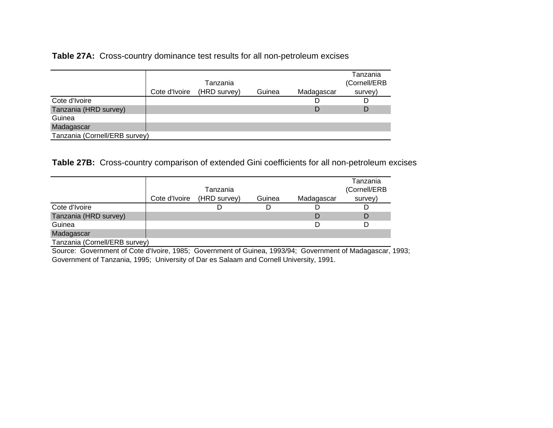**Table 27A:** Cross-country dominance test results for all non-petroleum excises

|                               | Cote d'Ivoire | Tanzania<br>(HRD survey) | Guinea | Madagascar | Tanzania<br>(Cornell/ERB<br>survey) |
|-------------------------------|---------------|--------------------------|--------|------------|-------------------------------------|
| Cote d'Ivoire                 |               |                          |        |            |                                     |
| Tanzania (HRD survey)         |               |                          |        |            | D                                   |
| Guinea                        |               |                          |        |            |                                     |
| Madagascar                    |               |                          |        |            |                                     |
| Tanzania (Cornell/ERB survey) |               |                          |        |            |                                     |

**Table 27B:** Cross-country comparison of extended Gini coefficients for all non-petroleum excises

|                               |               |              |        |            | Tanzania     |
|-------------------------------|---------------|--------------|--------|------------|--------------|
|                               |               | Tanzania     |        |            | (Cornell/ERB |
|                               | Cote d'Ivoire | (HRD survey) | Guinea | Madagascar | survey)      |
| Cote d'Ivoire                 |               |              |        |            |              |
| Tanzania (HRD survey)         |               |              |        |            |              |
| Guinea                        |               |              |        |            |              |
| Madagascar                    |               |              |        |            |              |
| Tanzania (Cornell/ERB survey) |               |              |        |            |              |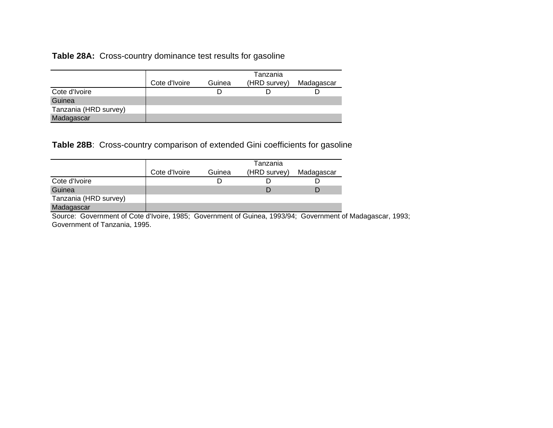**Table 28A:** Cross-country dominance test results for gasoline

|                       |               |        | Tanzania     |            |
|-----------------------|---------------|--------|--------------|------------|
|                       | Cote d'Ivoire | Guinea | (HRD survey) | Madagascar |
| Cote d'Ivoire         |               |        |              |            |
| Guinea                |               |        |              |            |
| Tanzania (HRD survey) |               |        |              |            |
| Madagascar            |               |        |              |            |

**Table 28B**: Cross-country comparison of extended Gini coefficients for gasoline

|                       |               |        | Tanzania     |            |
|-----------------------|---------------|--------|--------------|------------|
|                       | Cote d'Ivoire | Guinea | (HRD survey) | Madagascar |
| Cote d'Ivoire         |               |        |              |            |
| Guinea                |               |        |              |            |
| Tanzania (HRD survey) |               |        |              |            |
| Madagascar            |               |        |              |            |

Source: Government of Cote d'Ivoire, 1985; Government of Guinea, 1993/94; Government of Madagascar, 1993; Government of Tanzania, 1995.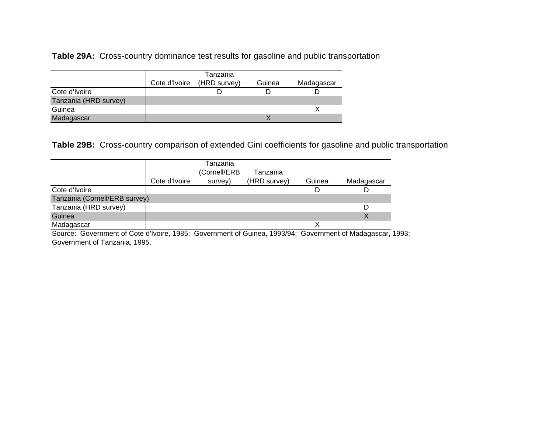**Table 29A:** Cross-country dominance test results for gasoline and public transportation

|                       |               | Tanzania     |        |            |
|-----------------------|---------------|--------------|--------|------------|
|                       | Cote d'Ivoire | (HRD survey) | Guinea | Madagascar |
| Cote d'Ivoire         |               |              |        |            |
| Tanzania (HRD survey) |               |              |        |            |
| Guinea                |               |              |        |            |
| Madagascar            |               |              |        |            |

**Table 29B:** Cross-country comparison of extended Gini coefficients for gasoline and public transportation

|                               |               | Tanzania     |              |        |            |
|-------------------------------|---------------|--------------|--------------|--------|------------|
|                               |               | (Cornell/ERB | Tanzania     |        |            |
|                               | Cote d'Ivoire | survey)      | (HRD survey) | Guinea | Madagascar |
| Cote d'Ivoire                 |               |              |              |        |            |
| Tanzania (Cornell/ERB survey) |               |              |              |        |            |
| Tanzania (HRD survey)         |               |              |              |        | D          |
| Guinea                        |               |              |              |        | Χ          |
| Madagascar                    |               |              |              |        |            |

Source: Government of Cote d'Ivoire, 1985; Government of Guinea, 1993/94; Government of Madagascar, 1993; Government of Tanzania, 1995.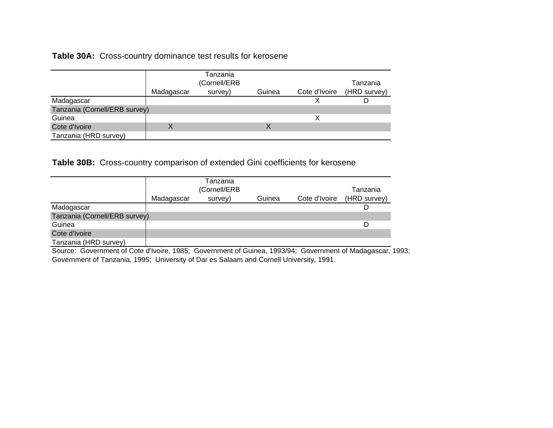# **Table 30A:** Cross-country dominance test results for kerosene

|                               |            | Tanzania<br>(Cornell/ERB |        |               | Tanzania     |
|-------------------------------|------------|--------------------------|--------|---------------|--------------|
|                               | Madagascar | survey)                  | Guinea | Cote d'Ivoire | (HRD survey) |
| Madagascar                    |            |                          |        |               |              |
| Tanzania (Cornell/ERB survey) |            |                          |        |               |              |
| Guinea                        |            |                          |        |               |              |
| Cote d'Ivoire                 | Χ          |                          |        |               |              |
| Tanzania (HRD survey)         |            |                          |        |               |              |

**Table 30B:** Cross-country comparison of extended Gini coefficients for kerosene

|                               |            | Tanzania<br>(Cornell/ERB |        |               | Tanzania     |
|-------------------------------|------------|--------------------------|--------|---------------|--------------|
|                               | Madagascar | survey)                  | Guinea | Cote d'Ivoire | (HRD survey) |
| Madagascar                    |            |                          |        |               |              |
| Tanzania (Cornell/ERB survey) |            |                          |        |               |              |
| Guinea                        |            |                          |        |               | D            |
| Cote d'Ivoire                 |            |                          |        |               |              |
| Tanzania (HRD survey)         |            |                          |        |               |              |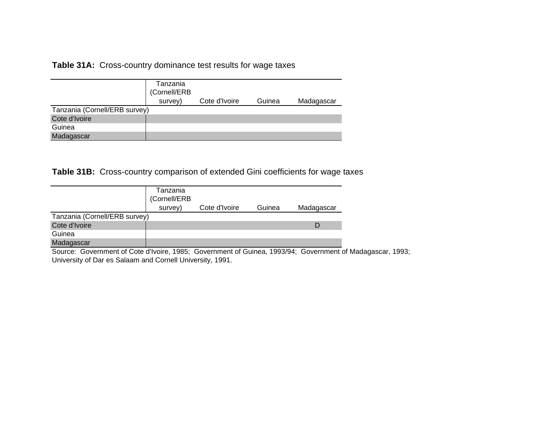**Table 31A:** Cross-country dominance test results for wage taxes

|                               | Tanzania<br>(Cornell/ERB<br>survey) | Cote d'Ivoire | Guinea | Madagascar |
|-------------------------------|-------------------------------------|---------------|--------|------------|
| Tanzania (Cornell/ERB survey) |                                     |               |        |            |
| Cote d'Ivoire                 |                                     |               |        |            |
| Guinea                        |                                     |               |        |            |
| Madagascar                    |                                     |               |        |            |

**Table 31B:** Cross-country comparison of extended Gini coefficients for wage taxes

|                               | Tanzania<br>(Cornell/ERB |               |        |            |
|-------------------------------|--------------------------|---------------|--------|------------|
|                               | survey)                  | Cote d'Ivoire | Guinea | Madagascar |
| Tanzania (Cornell/ERB survey) |                          |               |        |            |
| Cote d'Ivoire                 |                          |               |        |            |
| Guinea                        |                          |               |        |            |
| Madagascar                    |                          |               |        |            |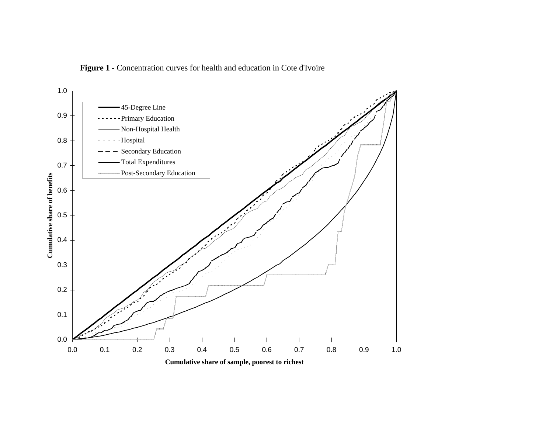

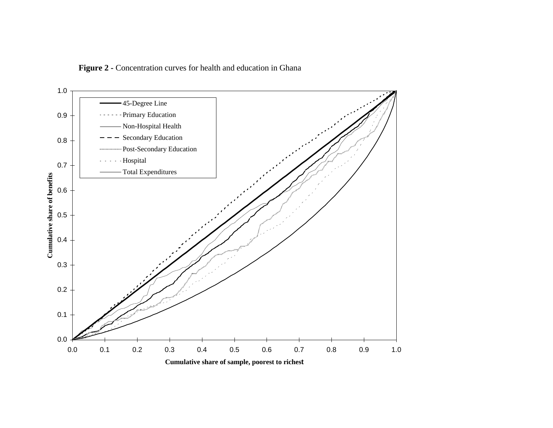Figure 2 - Concentration curves for health and education in Ghana

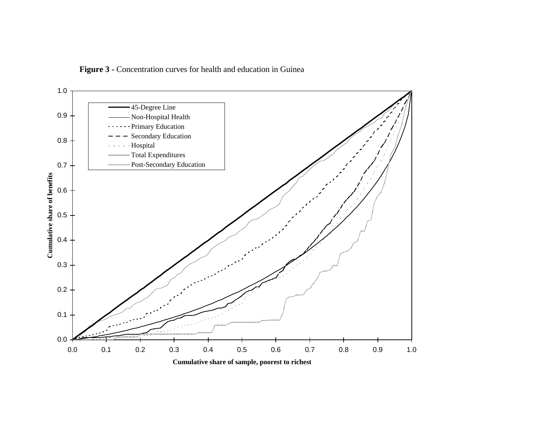Figure 3 - Concentration curves for health and education in Guinea

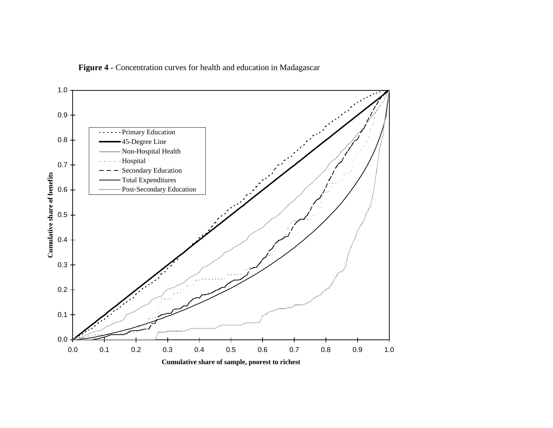

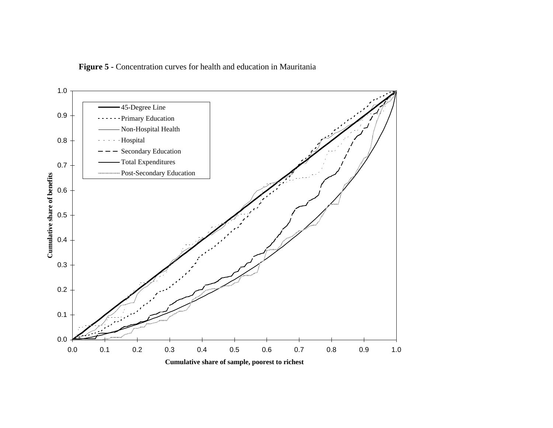

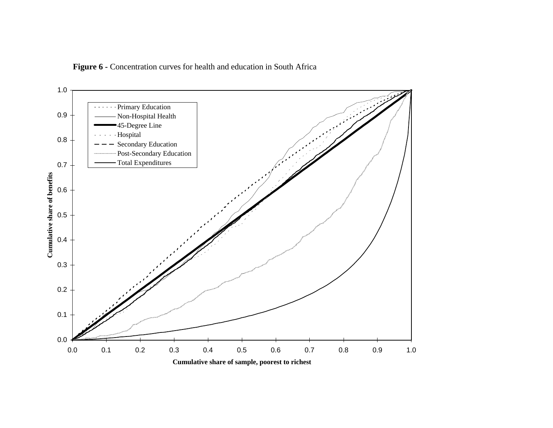

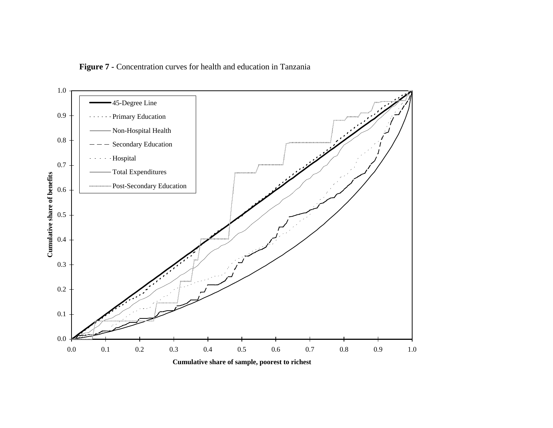

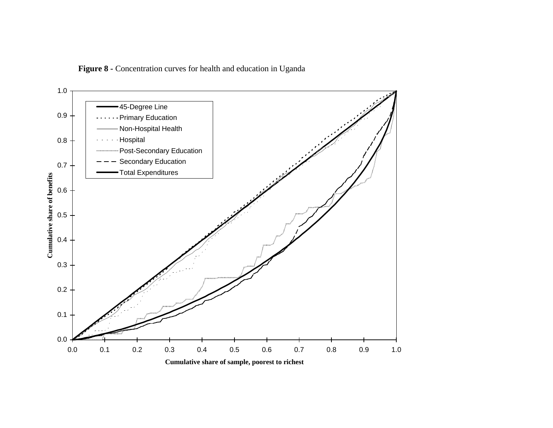Figure 8 - Concentration curves for health and education in Uganda

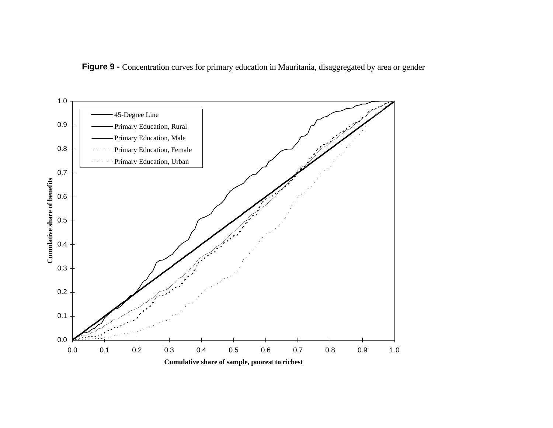

Figure 9 - Concentration curves for primary education in Mauritania, disaggregated by area or gender

**Cumulative share of sample, poorest to richest**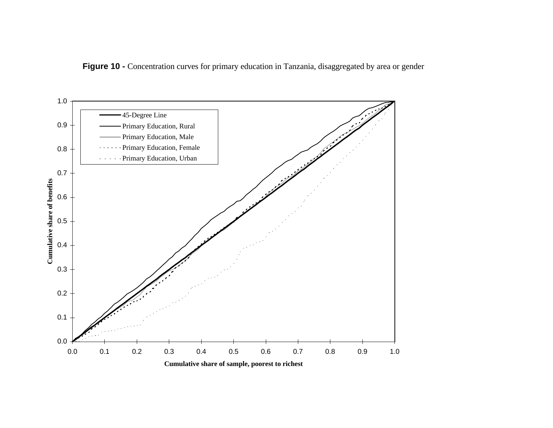

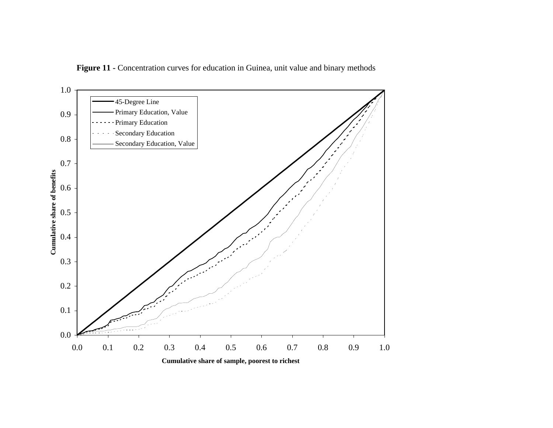

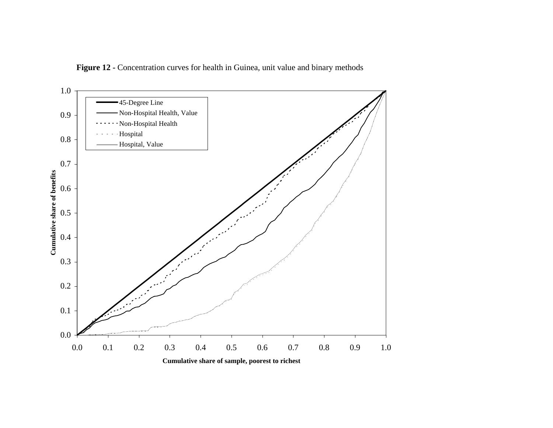

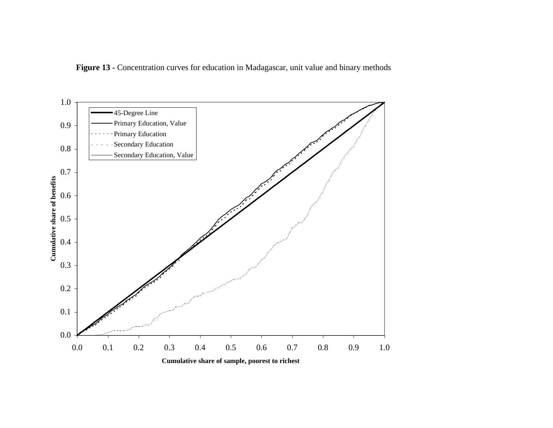

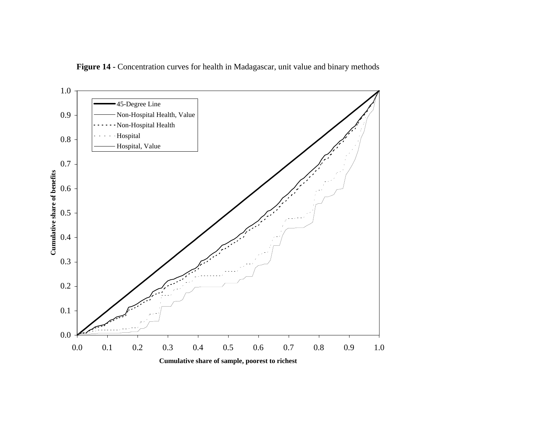

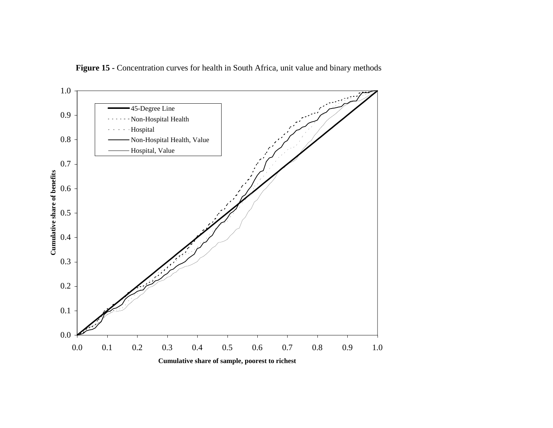

Figure 15 - Concentration curves for health in South Africa, unit value and binary methods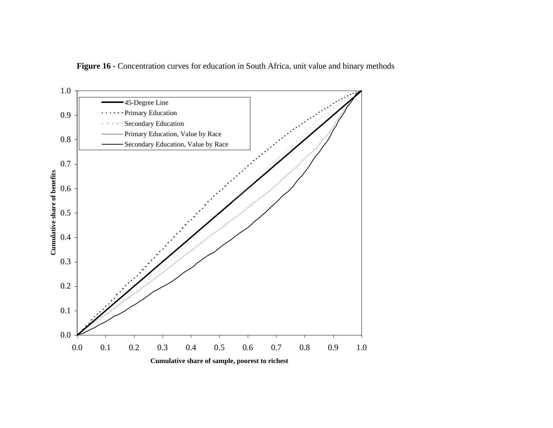

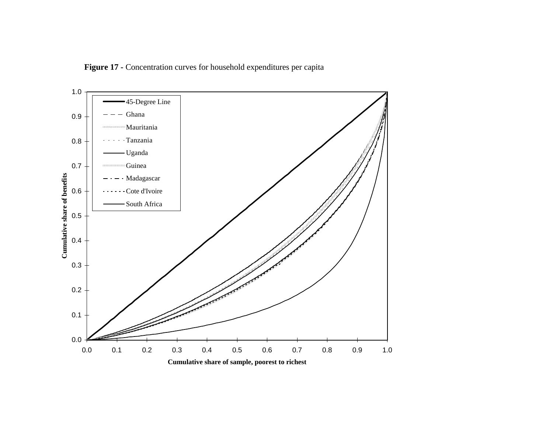Figure 17 - Concentration curves for household expenditures per capita

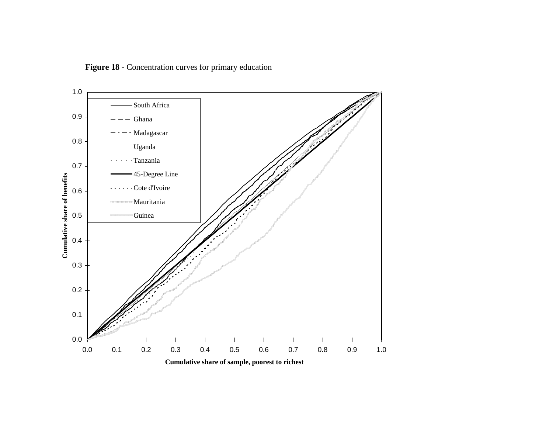Figure 18 - Concentration curves for primary education

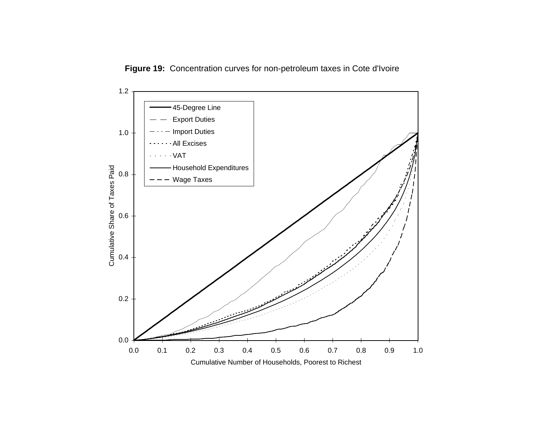**Figure 19:** Concentration curves for non-petroleum taxes in Cote d'Ivoire

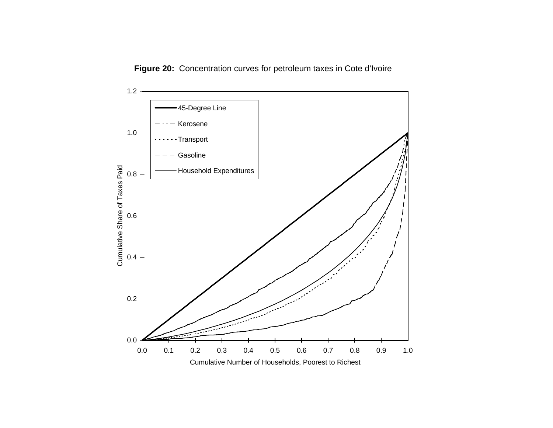**Figure 20:** Concentration curves for petroleum taxes in Cote d'Ivoire

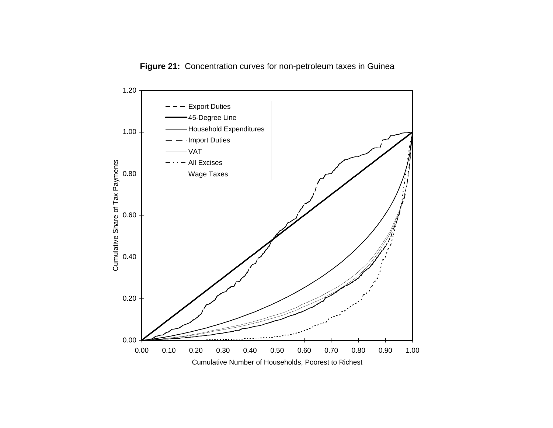

**Figure 21:** Concentration curves for non-petroleum taxes in Guinea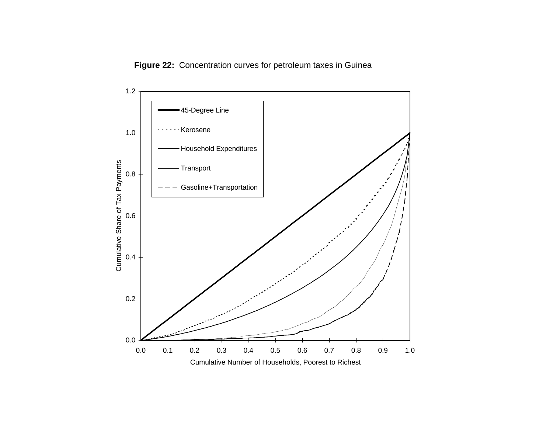**Figure 22:** Concentration curves for petroleum taxes in Guinea

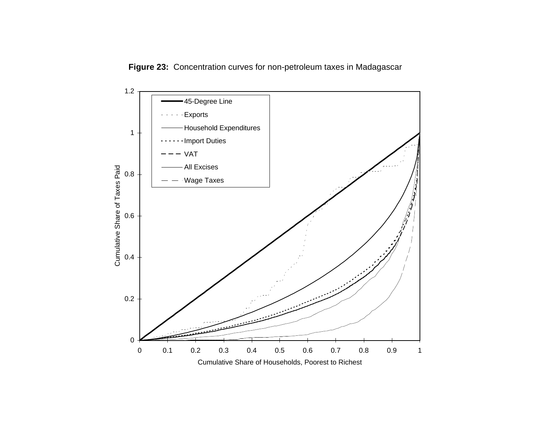

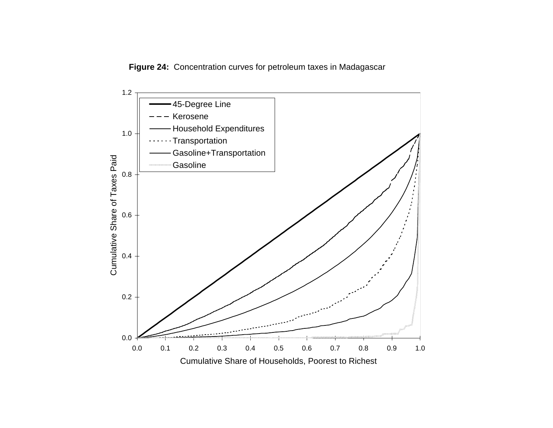**Figure 24:** Concentration curves for petroleum taxes in Madagascar

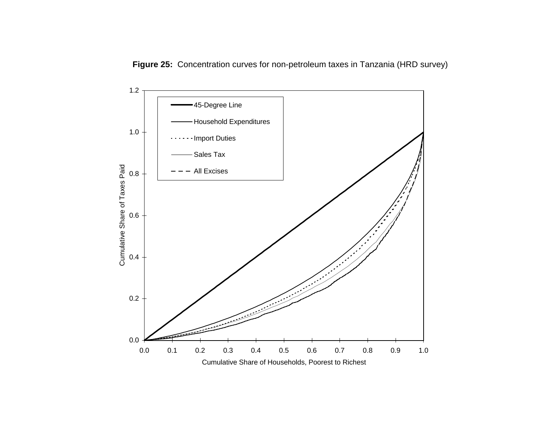

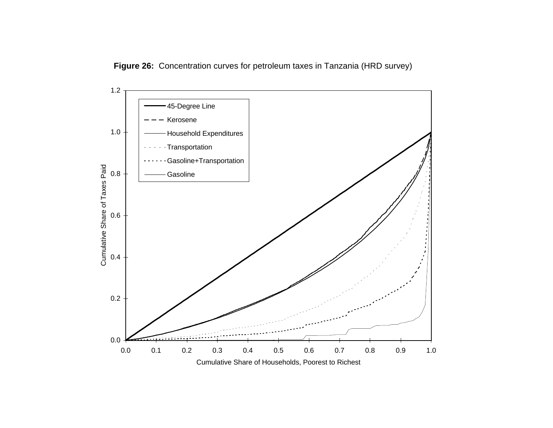

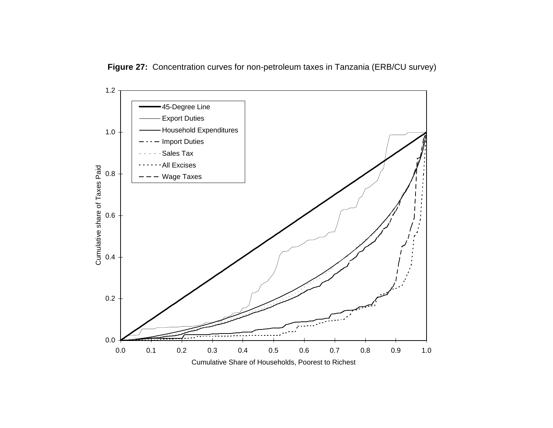

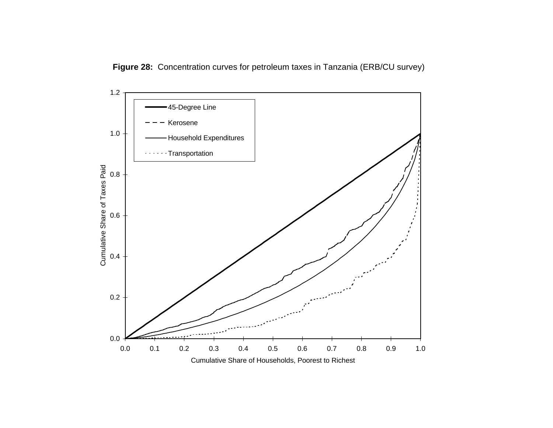**Figure 28:** Concentration curves for petroleum taxes in Tanzania (ERB/CU survey)

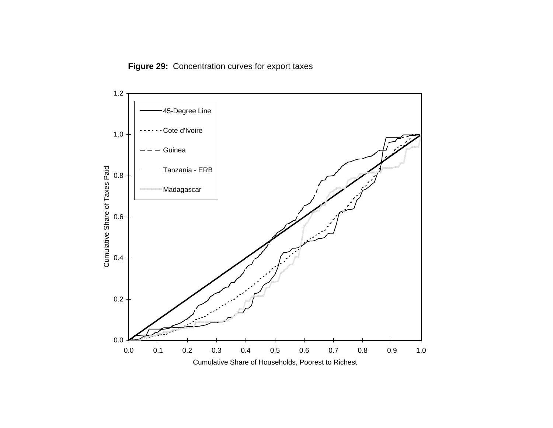

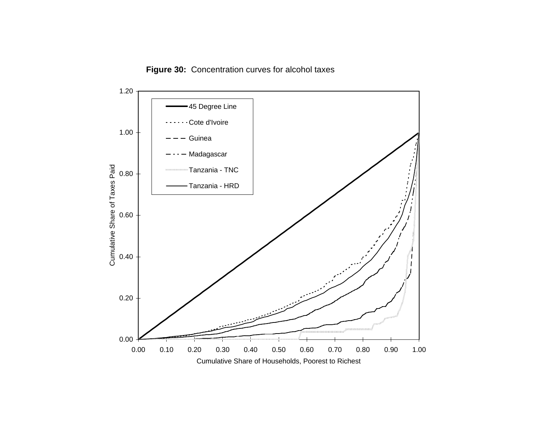

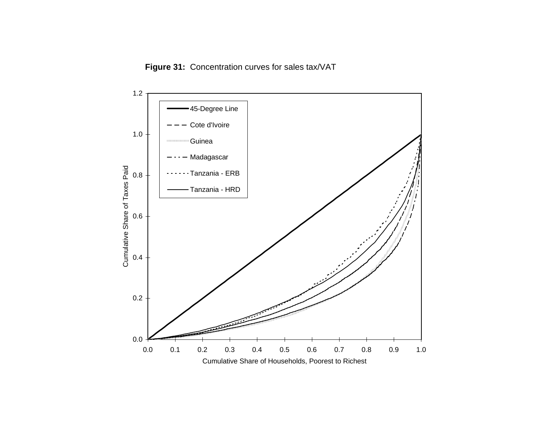**Figure 31:** Concentration curves for sales tax/VAT

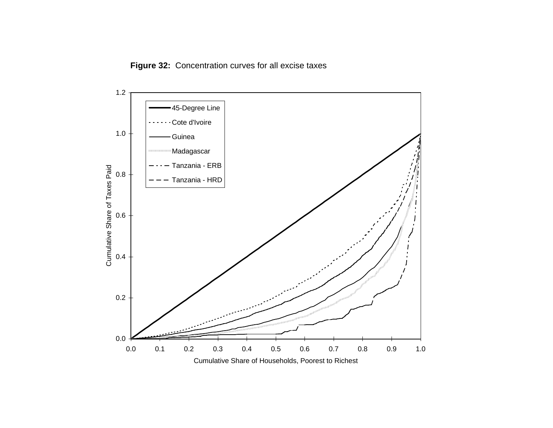**Figure 32:** Concentration curves for all excise taxes

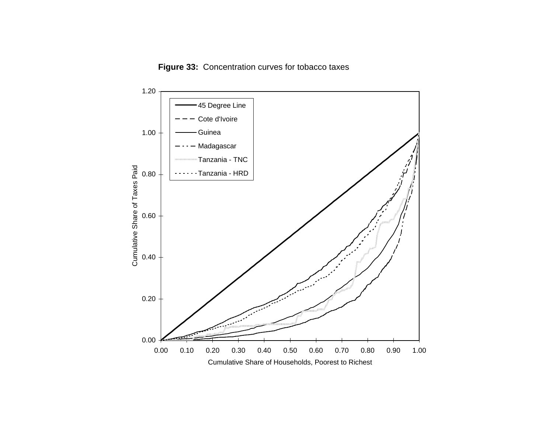**Figure 33:** Concentration curves for tobacco taxes

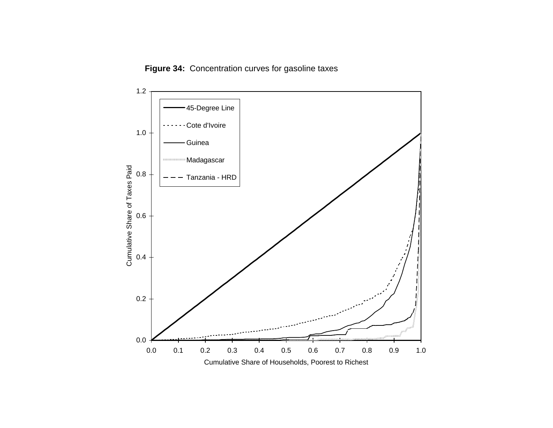**Figure 34:** Concentration curves for gasoline taxes

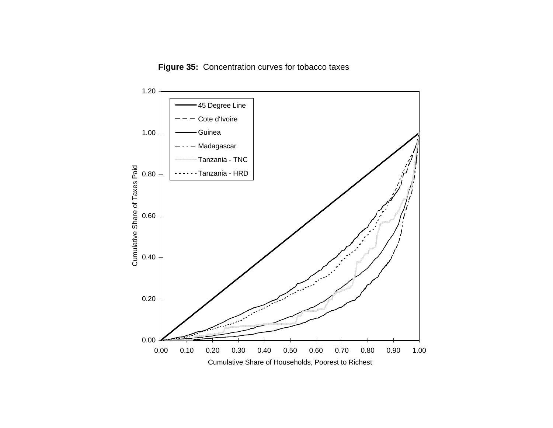**Figure 35:** Concentration curves for tobacco taxes